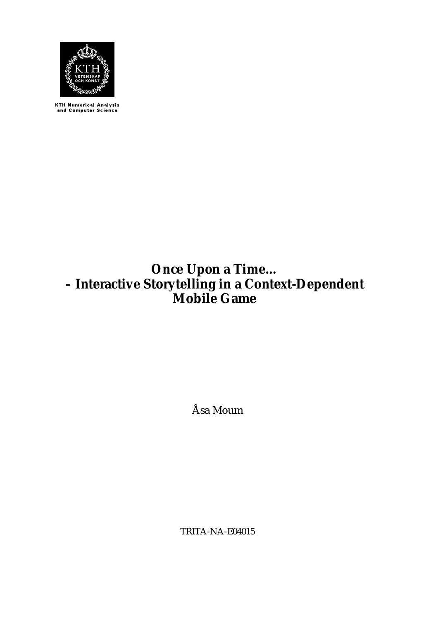

KTH Numerical Analysis<br>and Computer Science

# **Once Upon a Time… – Interactive Storytelling in a Context-Dependent Mobile Game**

Åsa Moum

TRITA-NA-E04015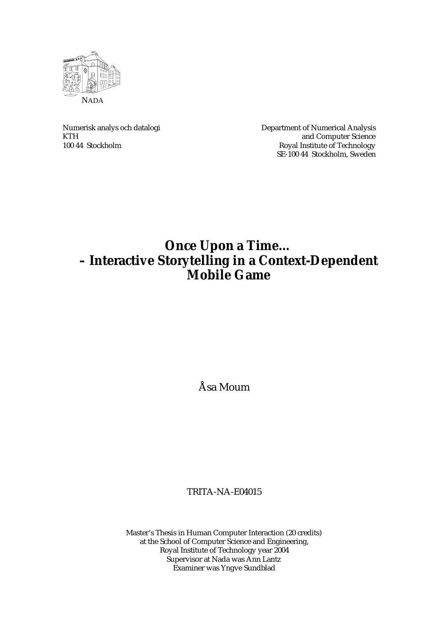

Numerisk analys och datalogi Department of Numerical Analysis KTH and Computer Science<br>100 44 Stockholm Royal Institute of Technology Royal Institute of Technology SE-100 44 Stockholm, Sweden

# **Once Upon a Time… – Interactive Storytelling in a Context-Dependent Mobile Game**

Åsa Moum

TRITA-NA-E04015

Master's Thesis in Human Computer Interaction (20 credits) at the School of Computer Science and Engineering, Royal Institute of Technology year 2004 Supervisor at Nada was Ann Lantz Examiner was Yngve Sundblad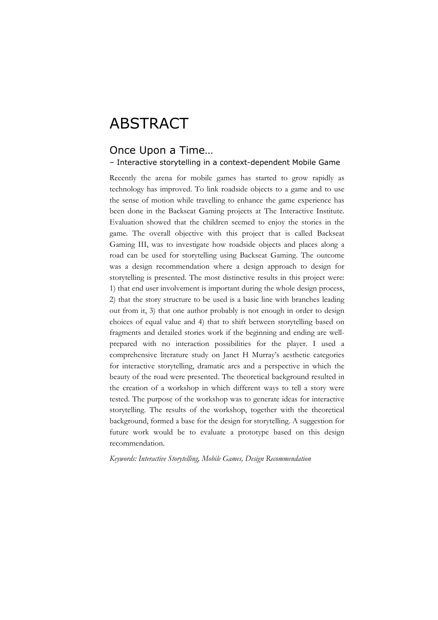# ABSTRACT

## Once Upon a Time…

#### – Interactive storytelling in a context-dependent Mobile Game

Recently the arena for mobile games has started to grow rapidly as technology has improved. To link roadside objects to a game and to use the sense of motion while travelling to enhance the game experience has been done in the Backseat Gaming projects at The Interactive Institute. Evaluation showed that the children seemed to enjoy the stories in the game. The overall objective with this project that is called Backseat Gaming III, was to investigate how roadside objects and places along a road can be used for storytelling using Backseat Gaming. The outcome was a design recommendation where a design approach to design for storytelling is presented. The most distinctive results in this project were: 1) that end user involvement is important during the whole design process, 2) that the story structure to be used is a basic line with branches leading out from it, 3) that one author probably is not enough in order to design choices of equal value and 4) that to shift between storytelling based on fragments and detailed stories work if the beginning and ending are wellprepared with no interaction possibilities for the player. I used a comprehensive literature study on Janet H Murray's aesthetic categories for interactive storytelling, dramatic arcs and a perspective in which the beauty of the road were presented. The theoretical background resulted in the creation of a workshop in which different ways to tell a story were tested. The purpose of the workshop was to generate ideas for interactive storytelling. The results of the workshop, together with the theoretical background, formed a base for the design for storytelling. A suggestion for future work would be to evaluate a prototype based on this design recommendation.

*Keywords: Interactive Storytelling, Mobile Games, Design Recommendation*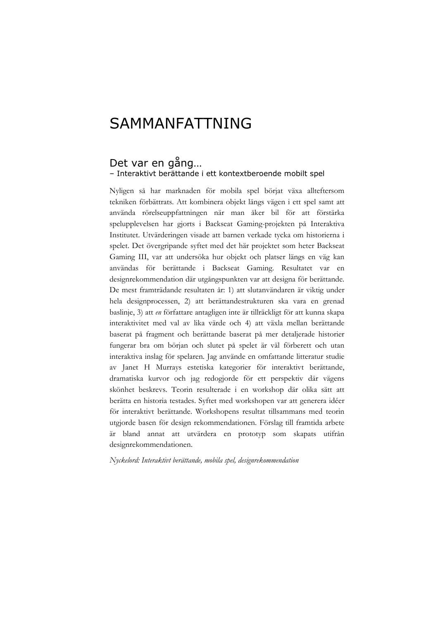# SAMMANFATTNING

#### Det var en gång… – Interaktivt berättande i ett kontextberoende mobilt spel

Nyligen så har marknaden för mobila spel börjat växa allteftersom tekniken förbättrats. Att kombinera objekt längs vägen i ett spel samt att använda rörelseuppfattningen när man åker bil för att förstärka spelupplevelsen har gjorts i Backseat Gaming-projekten på Interaktiva Institutet. Utvärderingen visade att barnen verkade tycka om historierna i spelet. Det övergripande syftet med det här projektet som heter Backseat Gaming III, var att undersöka hur objekt och platser längs en väg kan användas för berättande i Backseat Gaming. Resultatet var en designrekommendation där utgångspunkten var att designa för berättande. De mest framträdande resultaten år: 1) att slutanvändaren är viktig under hela designprocessen, 2) att berättandestrukturen ska vara en grenad baslinje, 3) att *en* författare antagligen inte är tillräckligt för att kunna skapa interaktivitet med val av lika värde och 4) att växla mellan berättande baserat på fragment och berättande baserat på mer detaljerade historier fungerar bra om början och slutet på spelet är väl förberett och utan interaktiva inslag för spelaren. Jag använde en omfattande litteratur studie av Janet H Murrays estetiska kategorier för interaktivt berättande, dramatiska kurvor och jag redogjorde för ett perspektiv där vägens skönhet beskrevs. Teorin resulterade i en workshop där olika sätt att berätta en historia testades. Syftet med workshopen var att generera idéer för interaktivt berättande. Workshopens resultat tillsammans med teorin utgjorde basen för design rekommendationen. Förslag till framtida arbete är bland annat att utvärdera en prototyp som skapats utifrån designrekommendationen.

*Nyckelord: Interaktivt berättande, mobila spel, designrekommendation*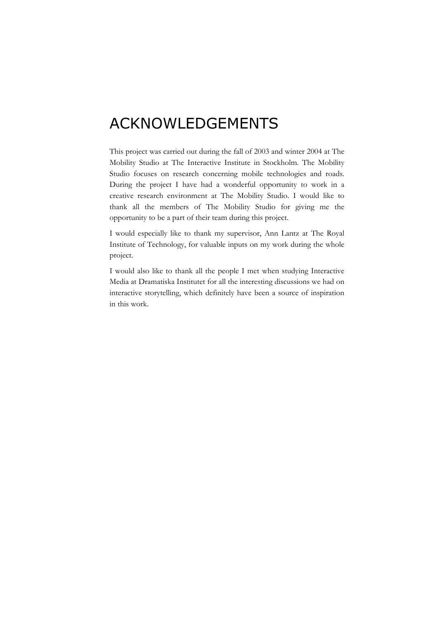# ACKNOWLEDGEMENTS

This project was carried out during the fall of 2003 and winter 2004 at The Mobility Studio at The Interactive Institute in Stockholm. The Mobility Studio focuses on research concerning mobile technologies and roads. During the project I have had a wonderful opportunity to work in a creative research environment at The Mobility Studio. I would like to thank all the members of The Mobility Studio for giving me the opportunity to be a part of their team during this project.

I would especially like to thank my supervisor, Ann Lantz at The Royal Institute of Technology, for valuable inputs on my work during the whole project.

I would also like to thank all the people I met when studying Interactive Media at Dramatiska Institutet for all the interesting discussions we had on interactive storytelling, which definitely have been a source of inspiration in this work.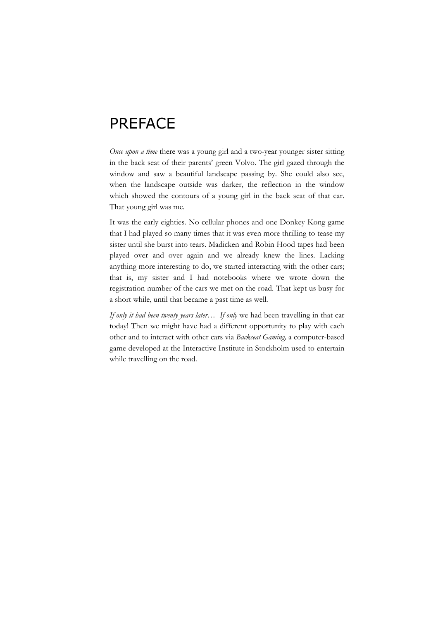# PREFACE

*Once upon a time* there was a young girl and a two-year younger sister sitting in the back seat of their parents' green Volvo. The girl gazed through the window and saw a beautiful landscape passing by. She could also see, when the landscape outside was darker, the reflection in the window which showed the contours of a young girl in the back seat of that car. That young girl was me.

It was the early eighties. No cellular phones and one Donkey Kong game that I had played so many times that it was even more thrilling to tease my sister until she burst into tears. Madicken and Robin Hood tapes had been played over and over again and we already knew the lines. Lacking anything more interesting to do, we started interacting with the other cars; that is, my sister and I had notebooks where we wrote down the registration number of the cars we met on the road. That kept us busy for a short while, until that became a past time as well.

*If only it had been twenty years later… If only* we had been travelling in that car today! Then we might have had a different opportunity to play with each other and to interact with other cars via *Backseat Gaming,* a computer-based game developed at the Interactive Institute in Stockholm used to entertain while travelling on the road.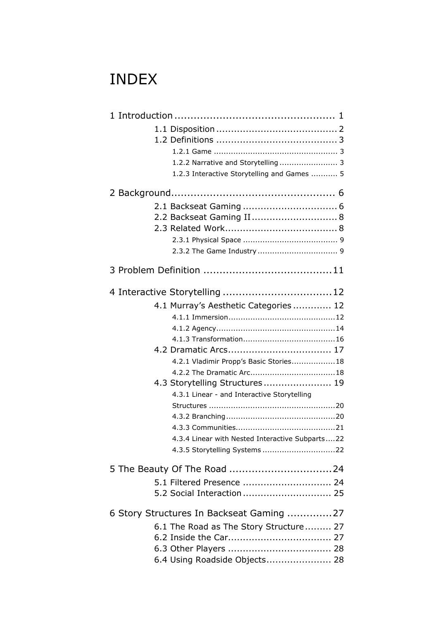# INDEX

| 1.2.2 Narrative and Storytelling  3             |  |  |
|-------------------------------------------------|--|--|
| 1.2.3 Interactive Storytelling and Games  5     |  |  |
|                                                 |  |  |
|                                                 |  |  |
| 2.2 Backseat Gaming II 8                        |  |  |
|                                                 |  |  |
|                                                 |  |  |
|                                                 |  |  |
|                                                 |  |  |
|                                                 |  |  |
|                                                 |  |  |
| 4.1 Murray's Aesthetic Categories 12            |  |  |
|                                                 |  |  |
|                                                 |  |  |
|                                                 |  |  |
|                                                 |  |  |
| 4.2.1 Vladimir Propp's Basic Stories18          |  |  |
|                                                 |  |  |
| 4.3 Storytelling Structures 19                  |  |  |
| 4.3.1 Linear - and Interactive Storytelling     |  |  |
|                                                 |  |  |
|                                                 |  |  |
|                                                 |  |  |
| 4.3.4 Linear with Nested Interactive Subparts22 |  |  |
|                                                 |  |  |
|                                                 |  |  |
| 5.1 Filtered Presence  24                       |  |  |
|                                                 |  |  |
| 6 Story Structures In Backseat Gaming 27        |  |  |
| 6.1 The Road as The Story Structure 27          |  |  |
|                                                 |  |  |
|                                                 |  |  |
| 6.4 Using Roadside Objects 28                   |  |  |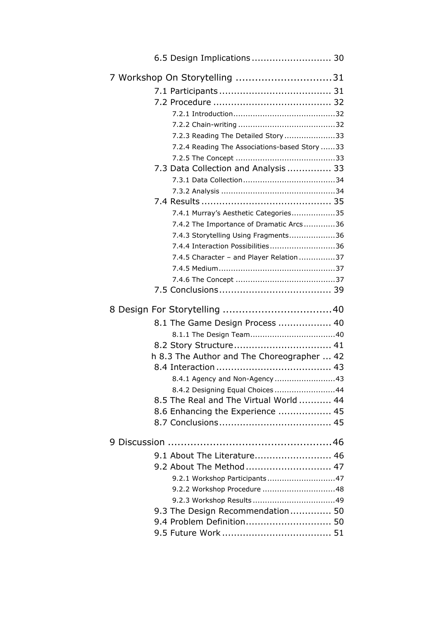| 6.5 Design Implications  30                   |  |  |  |
|-----------------------------------------------|--|--|--|
| 7 Workshop On Storytelling 31                 |  |  |  |
|                                               |  |  |  |
|                                               |  |  |  |
|                                               |  |  |  |
|                                               |  |  |  |
| 7.2.3 Reading The Detailed Story 33           |  |  |  |
|                                               |  |  |  |
| 7.2.4 Reading The Associations-based Story 33 |  |  |  |
| 7.3 Data Collection and Analysis  33          |  |  |  |
|                                               |  |  |  |
|                                               |  |  |  |
|                                               |  |  |  |
|                                               |  |  |  |
| 7.4.1 Murray's Aesthetic Categories35         |  |  |  |
| 7.4.2 The Importance of Dramatic Arcs36       |  |  |  |
| 7.4.3 Storytelling Using Fragments36          |  |  |  |
| 7.4.4 Interaction Possibilities36             |  |  |  |
| 7.4.5 Character - and Player Relation37       |  |  |  |
|                                               |  |  |  |
|                                               |  |  |  |
|                                               |  |  |  |
|                                               |  |  |  |
|                                               |  |  |  |
| 8.1 The Game Design Process  40               |  |  |  |
|                                               |  |  |  |
| 8.2 Story Structure 41                        |  |  |  |
| h 8.3 The Author and The Choreographer  42    |  |  |  |
|                                               |  |  |  |
| 8.4.1 Agency and Non-Agency 43                |  |  |  |
| 8.4.2 Designing Equal Choices 44              |  |  |  |
| 8.5 The Real and The Virtual World  44        |  |  |  |
| 8.6 Enhancing the Experience  45              |  |  |  |
|                                               |  |  |  |
|                                               |  |  |  |
|                                               |  |  |  |
| 9.1 About The Literature 46                   |  |  |  |
| 9.2 About The Method  47                      |  |  |  |
| 9.2.1 Workshop Participants47                 |  |  |  |
| 9.2.2 Workshop Procedure 48                   |  |  |  |
|                                               |  |  |  |
| 9.3 The Design Recommendation 50              |  |  |  |
| 9.4 Problem Definition 50                     |  |  |  |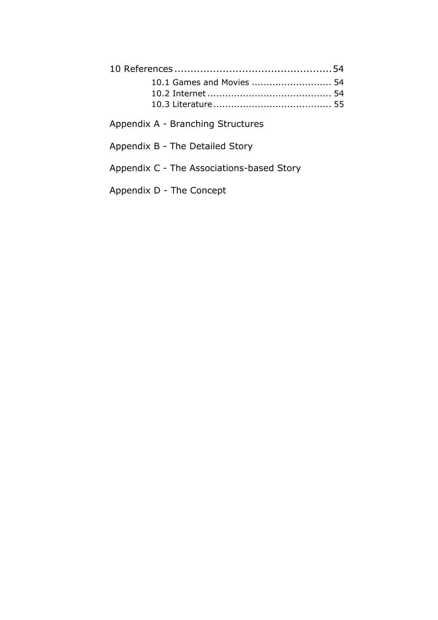Appendix A - Branching Structures

Appendix B - The Detailed Story

Appendix C - The Associations-based Story

Appendix D - The Concept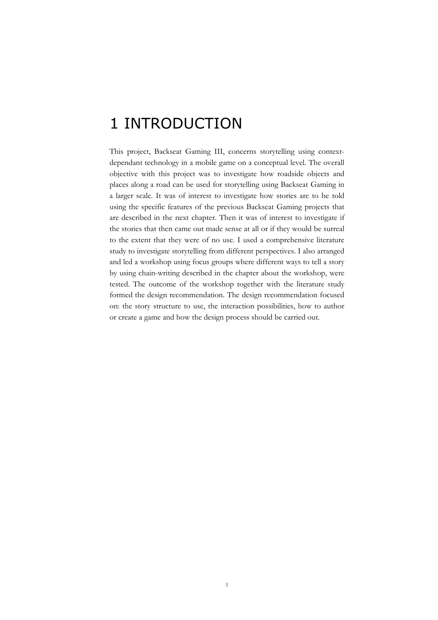# 1 INTRODUCTION

This project, Backseat Gaming III, concerns storytelling using contextdependant technology in a mobile game on a conceptual level. The overall objective with this project was to investigate how roadside objects and places along a road can be used for storytelling using Backseat Gaming in a larger scale. It was of interest to investigate how stories are to be told using the specific features of the previous Backseat Gaming projects that are described in the next chapter. Then it was of interest to investigate if the stories that then came out made sense at all or if they would be surreal to the extent that they were of no use. I used a comprehensive literature study to investigate storytelling from different perspectives. I also arranged and led a workshop using focus groups where different ways to tell a story by using chain-writing described in the chapter about the workshop, were tested. The outcome of the workshop together with the literature study formed the design recommendation. The design recommendation focused on: the story structure to use, the interaction possibilities, how to author or create a game and how the design process should be carried out.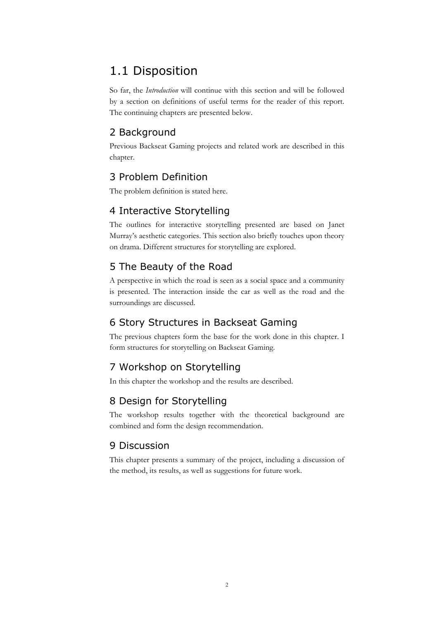# 1.1 Disposition

So far, the *Introduction* will continue with this section and will be followed by a section on definitions of useful terms for the reader of this report. The continuing chapters are presented below.

## 2 Background

Previous Backseat Gaming projects and related work are described in this chapter.

## 3 Problem Definition

The problem definition is stated here.

## 4 Interactive Storytelling

The outlines for interactive storytelling presented are based on Janet Murray's aesthetic categories. This section also briefly touches upon theory on drama. Different structures for storytelling are explored.

## 5 The Beauty of the Road

A perspective in which the road is seen as a social space and a community is presented. The interaction inside the car as well as the road and the surroundings are discussed.

## 6 Story Structures in Backseat Gaming

The previous chapters form the base for the work done in this chapter. I form structures for storytelling on Backseat Gaming.

## 7 Workshop on Storytelling

In this chapter the workshop and the results are described.

## 8 Design for Storytelling

The workshop results together with the theoretical background are combined and form the design recommendation.

## 9 Discussion

This chapter presents a summary of the project, including a discussion of the method, its results, as well as suggestions for future work.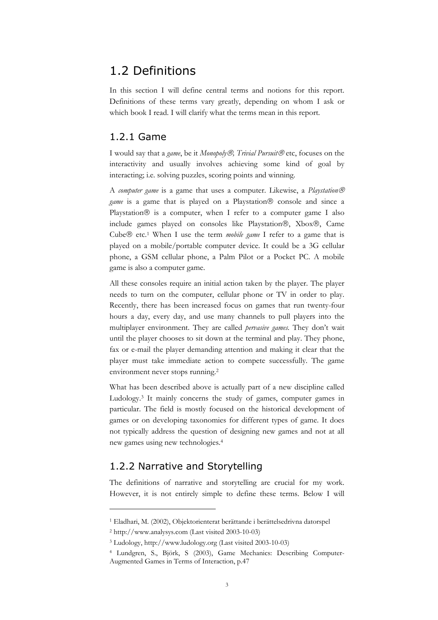# 1.2 Definitions

In this section I will define central terms and notions for this report. Definitions of these terms vary greatly, depending on whom I ask or which book I read. I will clarify what the terms mean in this report.

### 1.2.1 Game

I would say that a *game*, be it *Monopoly<sup>®</sup>*, *Trivial Pursuit* <sup>®</sup> etc, focuses on the interactivity and usually involves achieving some kind of goal by interacting; i.e. solving puzzles, scoring points and winning.

A *computer game* is a game that uses a computer. Likewise, a *Playstation game* is a game that is played on a Playstation<sup>®</sup> console and since a Playstation® is a computer, when I refer to a computer game I also include games played on consoles like Playstation®, Xbox®, Came Cube<sup>®</sup> etc.<sup>1</sup> When I use the term *mobile game* I refer to a game that is played on a mobile/portable computer device. It could be a 3G cellular phone, a GSM cellular phone, a Palm Pilot or a Pocket PC. A mobile game is also a computer game.

All these consoles require an initial action taken by the player. The player needs to turn on the computer, cellular phone or TV in order to play. Recently, there has been increased focus on games that run twenty-four hours a day, every day, and use many channels to pull players into the multiplayer environment. They are called *pervasive games.* They don't wait until the player chooses to sit down at the terminal and play. They phone, fax or e-mail the player demanding attention and making it clear that the player must take immediate action to compete successfully. The game environment never stops running.2

What has been described above is actually part of a new discipline called Ludology.3 It mainly concerns the study of games, computer games in particular. The field is mostly focused on the historical development of games or on developing taxonomies for different types of game. It does not typically address the question of designing new games and not at all new games using new technologies.4

## 1.2.2 Narrative and Storytelling

The definitions of narrative and storytelling are crucial for my work. However, it is not entirely simple to define these terms. Below I will

<sup>1</sup> Eladhari, M. (2002), Objektorienterat berättande i berättelsedrivna datorspel

<sup>2</sup> http://www.analysys.com (Last visited 2003-10-03)

<sup>3</sup> Ludology, http://www.ludology.org (Last visited 2003-10-03)

<sup>4</sup> Lundgren, S., Björk, S (2003), Game Mechanics: Describing Computer-Augmented Games in Terms of Interaction, p.47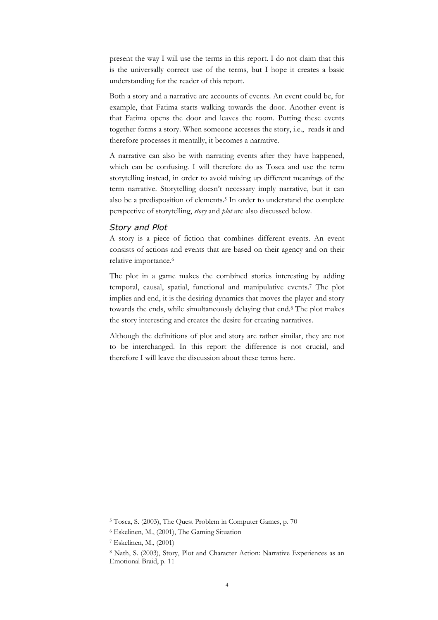present the way I will use the terms in this report. I do not claim that this is the universally correct use of the terms, but I hope it creates a basic understanding for the reader of this report.

Both a story and a narrative are accounts of events. An event could be, for example, that Fatima starts walking towards the door. Another event is that Fatima opens the door and leaves the room. Putting these events together forms a story. When someone accesses the story, i.e., reads it and therefore processes it mentally, it becomes a narrative.

A narrative can also be with narrating events after they have happened, which can be confusing. I will therefore do as Tosca and use the term storytelling instead, in order to avoid mixing up different meanings of the term narrative. Storytelling doesn't necessary imply narrative, but it can also be a predisposition of elements.<sup>5</sup> In order to understand the complete perspective of storytelling, *story* and *plot* are also discussed below.

#### *Story and Plot*

A story is a piece of fiction that combines different events. An event consists of actions and events that are based on their agency and on their relative importance.6

The plot in a game makes the combined stories interesting by adding temporal, causal, spatial, functional and manipulative events.7 The plot implies and end, it is the desiring dynamics that moves the player and story towards the ends, while simultaneously delaying that end.8 The plot makes the story interesting and creates the desire for creating narratives.

Although the definitions of plot and story are rather similar, they are not to be interchanged. In this report the difference is not crucial, and therefore I will leave the discussion about these terms here.

<sup>5</sup> Tosca, S. (2003), The Quest Problem in Computer Games, p. 70

<sup>6</sup> Eskelinen, M., (2001), The Gaming Situation

<sup>7</sup> Eskelinen, M., (2001)

<sup>8</sup> Nath, S. (2003), Story, Plot and Character Action: Narrative Experiences as an Emotional Braid, p. 11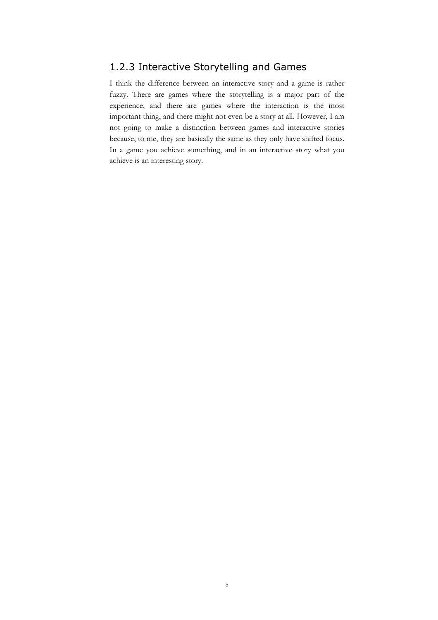## 1.2.3 Interactive Storytelling and Games

I think the difference between an interactive story and a game is rather fuzzy. There are games where the storytelling is a major part of the experience, and there are games where the interaction is the most important thing, and there might not even be a story at all. However, I am not going to make a distinction between games and interactive stories because, to me, they are basically the same as they only have shifted focus. In a game you achieve something, and in an interactive story what you achieve is an interesting story.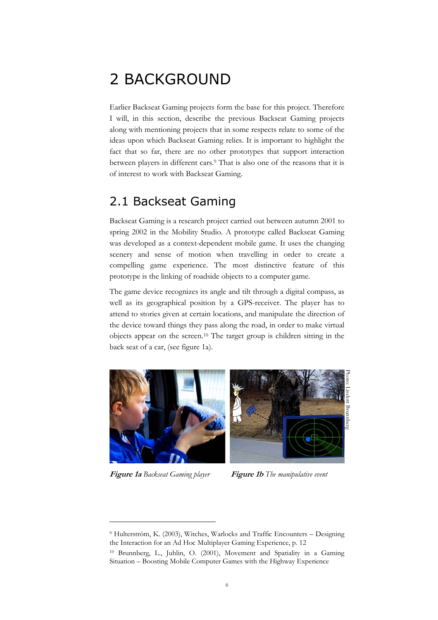# 2 BACKGROUND

Earlier Backseat Gaming projects form the base for this project. Therefore I will, in this section, describe the previous Backseat Gaming projects along with mentioning projects that in some respects relate to some of the ideas upon which Backseat Gaming relies. It is important to highlight the fact that so far, there are no other prototypes that support interaction between players in different cars.9 That is also one of the reasons that it is of interest to work with Backseat Gaming.

# 2.1 Backseat Gaming

Backseat Gaming is a research project carried out between autumn 2001 to spring 2002 in the Mobility Studio. A prototype called Backseat Gaming was developed as a context-dependent mobile game. It uses the changing scenery and sense of motion when travelling in order to create a compelling game experience. The most distinctive feature of this prototype is the linking of roadside objects to a computer game.

The game device recognizes its angle and tilt through a digital compass, as well as its geographical position by a GPS-receiver. The player has to attend to stories given at certain locations, and manipulate the direction of the device toward things they pass along the road, in order to make virtual objects appear on the screen.10 The target group is children sitting in the back seat of a car, (see figure 1a).



**Figure 1a** *Backseat Gaming player* **Figure 1b** *The manipulative event*

<sup>9</sup> Hulterström, K. (2003), Witches, Warlocks and Traffic Encounters – Designing the Interaction for an Ad Hoc Multiplayer Gaming Experience, p. 12

<sup>10</sup> Brunnberg, L., Juhlin, O. (2001), Movement and Spatiality in a Gaming Situation – Boosting Mobile Computer Games with the Highway Experience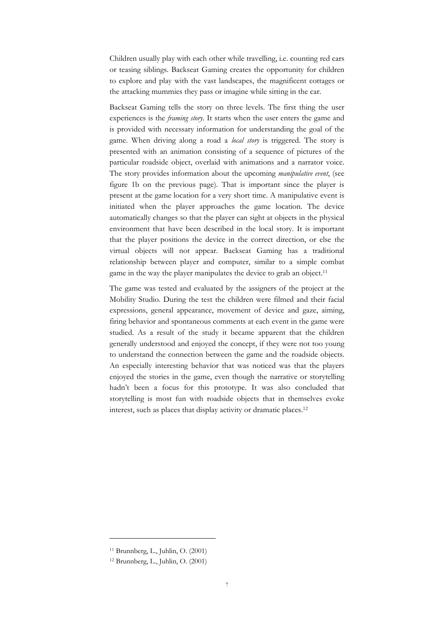Children usually play with each other while travelling, i.e. counting red cars or teasing siblings. Backseat Gaming creates the opportunity for children to explore and play with the vast landscapes, the magnificent cottages or the attacking mummies they pass or imagine while sitting in the car.

Backseat Gaming tells the story on three levels. The first thing the user experiences is the *framing story*. It starts when the user enters the game and is provided with necessary information for understanding the goal of the game. When driving along a road a *local story* is triggered. The story is presented with an animation consisting of a sequence of pictures of the particular roadside object, overlaid with animations and a narrator voice. The story provides information about the upcoming *manipulative event*, (see figure 1b on the previous page). That is important since the player is present at the game location for a very short time. A manipulative event is initiated when the player approaches the game location. The device automatically changes so that the player can sight at objects in the physical environment that have been described in the local story. It is important that the player positions the device in the correct direction, or else the virtual objects will not appear. Backseat Gaming has a traditional relationship between player and computer, similar to a simple combat game in the way the player manipulates the device to grab an object.<sup>11</sup>

The game was tested and evaluated by the assigners of the project at the Mobility Studio. During the test the children were filmed and their facial expressions, general appearance, movement of device and gaze, aiming, firing behavior and spontaneous comments at each event in the game were studied. As a result of the study it became apparent that the children generally understood and enjoyed the concept, if they were not too young to understand the connection between the game and the roadside objects. An especially interesting behavior that was noticed was that the players enjoyed the stories in the game, even though the narrative or storytelling hadn't been a focus for this prototype. It was also concluded that storytelling is most fun with roadside objects that in themselves evoke interest, such as places that display activity or dramatic places.12

<sup>11</sup> Brunnberg, L., Juhlin, O. (2001)

 $12$  Brunnberg, L., Juhlin, O. (2001)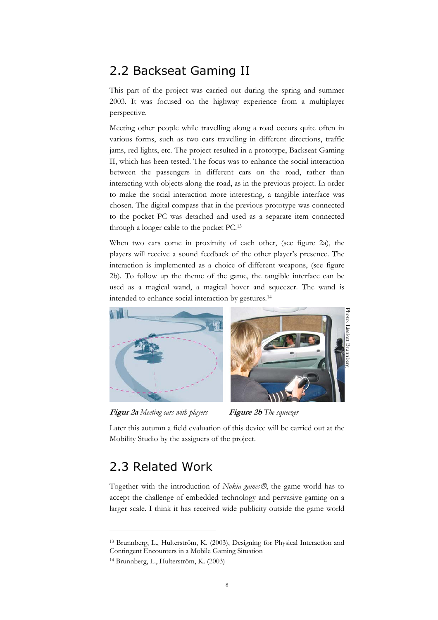# 2.2 Backseat Gaming II

This part of the project was carried out during the spring and summer 2003. It was focused on the highway experience from a multiplayer perspective.

Meeting other people while travelling along a road occurs quite often in various forms, such as two cars travelling in different directions, traffic jams, red lights, etc. The project resulted in a prototype, Backseat Gaming II, which has been tested. The focus was to enhance the social interaction between the passengers in different cars on the road, rather than interacting with objects along the road, as in the previous project. In order to make the social interaction more interesting, a tangible interface was chosen. The digital compass that in the previous prototype was connected to the pocket PC was detached and used as a separate item connected through a longer cable to the pocket PC.13

When two cars come in proximity of each other, (see figure 2a), the players will receive a sound feedback of the other player's presence. The interaction is implemented as a choice of different weapons, (see figure 2b). To follow up the theme of the game, the tangible interface can be used as a magical wand, a magical hover and squeezer. The wand is intended to enhance social interaction by gestures.14



**Figur 2a** *Meeting cars with players* **Figure 2b** *The squeezer*

Later this autumn a field evaluation of this device will be carried out at the Mobility Studio by the assigners of the project.

# 2.3 Related Work

 $\overline{a}$ 

Together with the introduction of *Nokia games®*, the game world has to accept the challenge of embedded technology and pervasive gaming on a larger scale. I think it has received wide publicity outside the game world

<sup>13</sup> Brunnberg, L., Hulterström, K. (2003), Designing for Physical Interaction and Contingent Encounters in a Mobile Gaming Situation

<sup>14</sup> Brunnberg, L., Hulterström, K. (2003)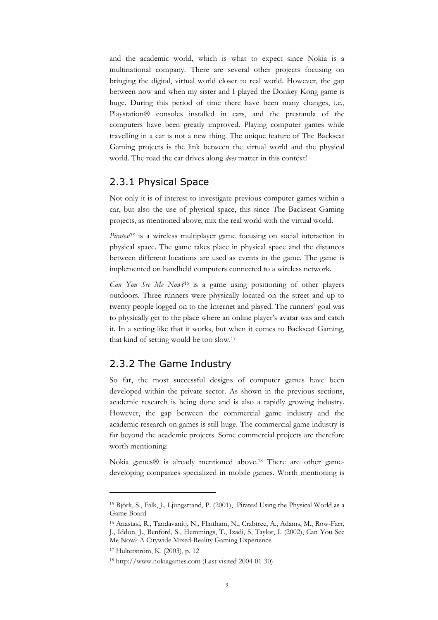and the academic world, which is what to expect since Nokia is a multinational company. There are several other projects focusing on bringing the digital, virtual world closer to real world. However, the gap between now and when my sister and I played the Donkey Kong game is huge. During this period of time there have been many changes, i.e., Playstation<sup>®</sup> consoles installed in cars, and the prestanda of the computers have been greatly improved. Playing computer games while travelling in a car is not a new thing. The unique feature of The Backseat Gaming projects is the link between the virtual world and the physical world. The road the car drives along *does* matter in this context!

### 2.3.1 Physical Space

Not only it is of interest to investigate previous computer games within a car, but also the use of physical space, this since The Backseat Gaming projects, as mentioned above, mix the real world with the virtual world.

*Pirates!15* is a wireless multiplayer game focusing on social interaction in physical space. The game takes place in physical space and the distances between different locations are used as events in the game. The game is implemented on handheld computers connected to a wireless network.

*Can You See Me Now?*16 is a game using positioning of other players outdoors. Three runners were physically located on the street and up to twenty people logged on to the Internet and played. The runners' goal was to physically get to the place where an online player's avatar was and catch it. In a setting like that it works, but when it comes to Backseat Gaming, that kind of setting would be too slow.17

## 2.3.2 The Game Industry

So far, the most successful designs of computer games have been developed within the private sector. As shown in the previous sections, academic research is being done and is also a rapidly growing industry. However, the gap between the commercial game industry and the academic research on games is still huge. The commercial game industry is far beyond the academic projects. Some commercial projects are therefore worth mentioning:

Nokia games<sup>®</sup> is already mentioned above.<sup>18</sup> There are other gamedeveloping companies specialized in mobile games. Worth mentioning is

<sup>15</sup> Björk, S., Falk, J., Ljungstrand, P. (2001), Pirates! Using the Physical World as a Game Board

<sup>16</sup> Anastasi, R., Tandavanitj, N., Flintham, N., Crabtree, A., Adams, M., Row-Farr, J., Iddon, J., Benford, S., Hemmings, T., Izadi, S, Taylor, I. (2002), Can You See Me Now? A Citywide Mixed-Reality Gaming Experience

<sup>17</sup> Hulterström, K. (2003), p. 12

<sup>18</sup> http://www.nokiagames.com (Last visited 2004-01-30)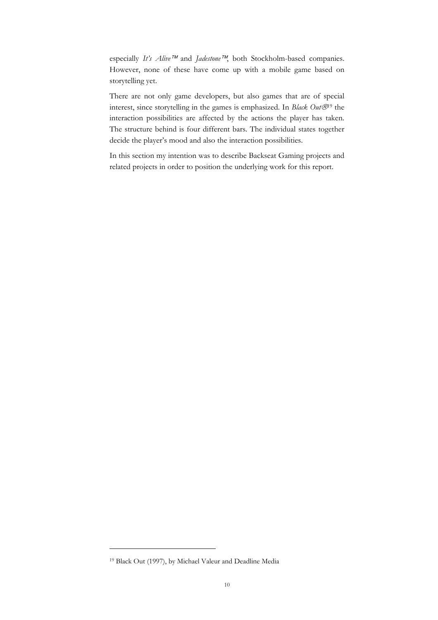especially *It's Alive™* and *Jadestone<sup>™</sup>*, both Stockholm-based companies. However, none of these have come up with a mobile game based on storytelling yet.

There are not only game developers, but also games that are of special interest, since storytelling in the games is emphasized. In *Black Out®*<sup>19</sup> the interaction possibilities are affected by the actions the player has taken. The structure behind is four different bars. The individual states together decide the player's mood and also the interaction possibilities.

In this section my intention was to describe Backseat Gaming projects and related projects in order to position the underlying work for this report.

<sup>19</sup> Black Out (1997), by Michael Valeur and Deadline Media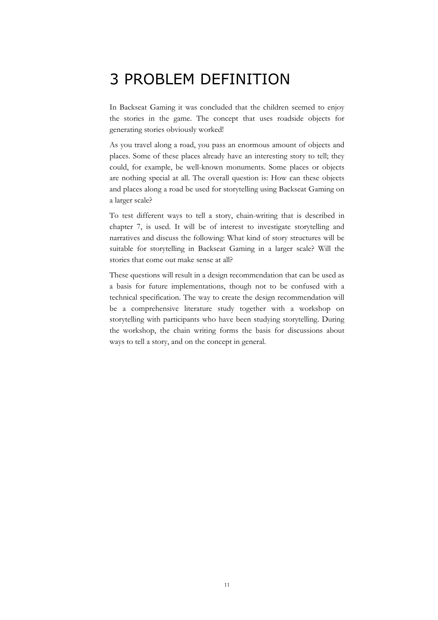# 3 PROBLEM DEFINITION

In Backseat Gaming it was concluded that the children seemed to enjoy the stories in the game. The concept that uses roadside objects for generating stories obviously worked!

As you travel along a road, you pass an enormous amount of objects and places. Some of these places already have an interesting story to tell; they could, for example, be well-known monuments. Some places or objects are nothing special at all. The overall question is: How can these objects and places along a road be used for storytelling using Backseat Gaming on a larger scale?

To test different ways to tell a story, chain-writing that is described in chapter 7, is used. It will be of interest to investigate storytelling and narratives and discuss the following: What kind of story structures will be suitable for storytelling in Backseat Gaming in a larger scale? Will the stories that come out make sense at all?

These questions will result in a design recommendation that can be used as a basis for future implementations, though not to be confused with a technical specification. The way to create the design recommendation will be a comprehensive literature study together with a workshop on storytelling with participants who have been studying storytelling. During the workshop, the chain writing forms the basis for discussions about ways to tell a story, and on the concept in general.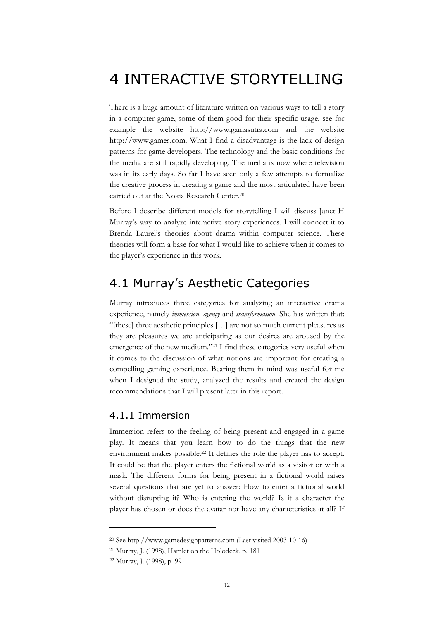# 4 INTERACTIVE STORYTELLING

There is a huge amount of literature written on various ways to tell a story in a computer game, some of them good for their specific usage, see for example the website http://www.gamasutra.com and the website http://www.games.com. What I find a disadvantage is the lack of design patterns for game developers. The technology and the basic conditions for the media are still rapidly developing. The media is now where television was in its early days. So far I have seen only a few attempts to formalize the creative process in creating a game and the most articulated have been carried out at the Nokia Research Center.20

Before I describe different models for storytelling I will discuss Janet H Murray's way to analyze interactive story experiences. I will connect it to Brenda Laurel's theories about drama within computer science. These theories will form a base for what I would like to achieve when it comes to the player's experience in this work.

# 4.1 Murray's Aesthetic Categories

Murray introduces three categories for analyzing an interactive drama experience, namely *immersion, agency* and *transformation.* She has written that: "[these] three aesthetic principles […] are not so much current pleasures as they are pleasures we are anticipating as our desires are aroused by the emergence of the new medium."21 I find these categories very useful when it comes to the discussion of what notions are important for creating a compelling gaming experience. Bearing them in mind was useful for me when I designed the study, analyzed the results and created the design recommendations that I will present later in this report.

#### 4.1.1 Immersion

Immersion refers to the feeling of being present and engaged in a game play. It means that you learn how to do the things that the new environment makes possible.22 It defines the role the player has to accept. It could be that the player enters the fictional world as a visitor or with a mask. The different forms for being present in a fictional world raises several questions that are yet to answer: How to enter a fictional world without disrupting it? Who is entering the world? Is it a character the player has chosen or does the avatar not have any characteristics at all? If

<sup>20</sup> See http://www.gamedesignpatterns.com (Last visited 2003-10-16)

<sup>21</sup> Murray, J. (1998), Hamlet on the Holodeck, p. 181

<sup>22</sup> Murray, J. (1998), p. 99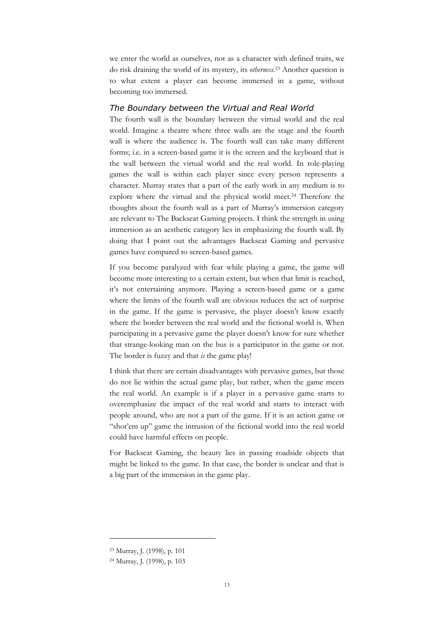we enter the world as ourselves, not as a character with defined traits, we do risk draining the world of its mystery, its *otherness*. 23 Another question is to what extent a player can become immersed in a game, without becoming too immersed.

#### *The Boundary between the Virtual and Real World*

The fourth wall is the boundary between the virtual world and the real world. Imagine a theatre where three walls are the stage and the fourth wall is where the audience is. The fourth wall can take many different forms; i.e. in a screen-based game it is the screen and the keyboard that is the wall between the virtual world and the real world. In role-playing games the wall is within each player since every person represents a character. Murray states that a part of the early work in any medium is to explore where the virtual and the physical world meet.24 Therefore the thoughts about the fourth wall as a part of Murray's immersion category are relevant to The Backseat Gaming projects. I think the strength in using immersion as an aesthetic category lies in emphasizing the fourth wall. By doing that I point out the advantages Backseat Gaming and pervasive games have compared to screen-based games.

If you become paralyzed with fear while playing a game, the game will become more interesting to a certain extent, but when that limit is reached, it's not entertaining anymore. Playing a screen-based game or a game where the limits of the fourth wall are obvious reduces the act of surprise in the game. If the game is pervasive, the player doesn't know exactly where the border between the real world and the fictional world is. When participating in a pervasive game the player doesn't know for sure whether that strange-looking man on the bus is a participator in the game or not. The border is fuzzy and that *is* the game play!

I think that there are certain disadvantages with pervasive games, but those do not lie within the actual game play, but rather, when the game meets the real world. An example is if a player in a pervasive game starts to overemphasize the impact of the real world and starts to interact with people around, who are not a part of the game. If it is an action game or "shot'em up" game the intrusion of the fictional world into the real world could have harmful effects on people.

For Backseat Gaming, the beauty lies in passing roadside objects that might be linked to the game. In that case, the border is unclear and that is a big part of the immersion in the game play.

<sup>23</sup> Murray, J. (1998), p. 101

<sup>24</sup> Murray, J. (1998), p. 103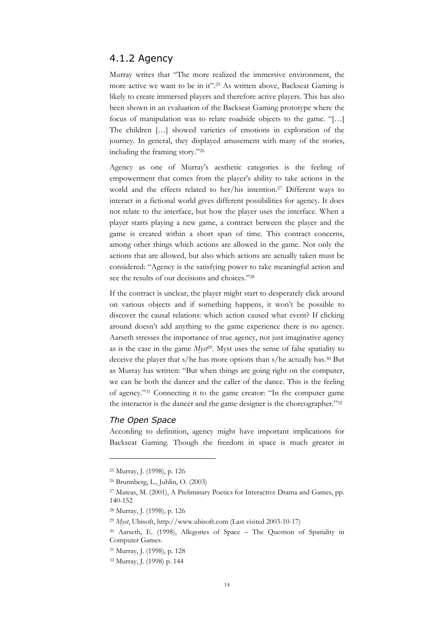### 4.1.2 Agency

Murray writes that "The more realized the immersive environment, the more active we want to be in it".25 As written above, Backseat Gaming is likely to create immersed players and therefore active players. This has also been shown in an evaluation of the Backseat Gaming prototype where the focus of manipulation was to relate roadside objects to the game. "[…] The children […] showed varieties of emotions in exploration of the journey. In general, they displayed amusement with many of the stories, including the framing story."26

Agency as one of Murray's aesthetic categories is the feeling of empowerment that comes from the player's ability to take actions in the world and the effects related to her/his intention.27 Different ways to interact in a fictional world gives different possibilities for agency. It does not relate to the interface, but how the player uses the interface. When a player starts playing a new game, a contract between the player and the game is created within a short span of time. This contract concerns, among other things which actions are allowed in the game. Not only the actions that are allowed, but also which actions are actually taken must be considered: "Agency is the satisfying power to take meaningful action and see the results of our decisions and choices."28

If the contract is unclear, the player might start to desperately click around on various objects and if something happens, it won't be possible to discover the causal relations: which action caused what event? If clicking around doesn't add anything to the game experience there is no agency. Aarseth stresses the importance of true agency, not just imaginative agency as is the case in the game *Myst*29*.* Myst uses the sense of false spatiality to deceive the player that s/he has more options than s/he actually has.30 But as Murray has written: "But when things are going right on the computer, we can be both the dancer and the caller of the dance. This is the feeling of agency."31 Connecting it to the game creator: "In the computer game the interactor is the dancer and the game designer is the choreographer."32

#### *The Open Space*

 $\overline{a}$ 

According to definition, agency might have important implications for Backseat Gaming. Though the freedom in space is much greater in

<sup>25</sup> Murray, J. (1998), p. 126

<sup>26</sup> Brunnberg, L., Juhlin, O. (2003)

<sup>27</sup> Mateas, M. (2001), A Preliminary Poetics for Interactive Drama and Games, pp. 140-152

<sup>28</sup> Murray, J. (1998), p. 126

<sup>29</sup> *Myst*, Ubisoft, http://www.ubisoft.com (Last visited 2003-10-17)

<sup>30</sup> Aarseth, E. (1998), Allegories of Space – The Question of Spatiality in Computer Games.

<sup>31</sup> Murray, J. (1998), p. 128

<sup>32</sup> Murray, J. (1998) p. 144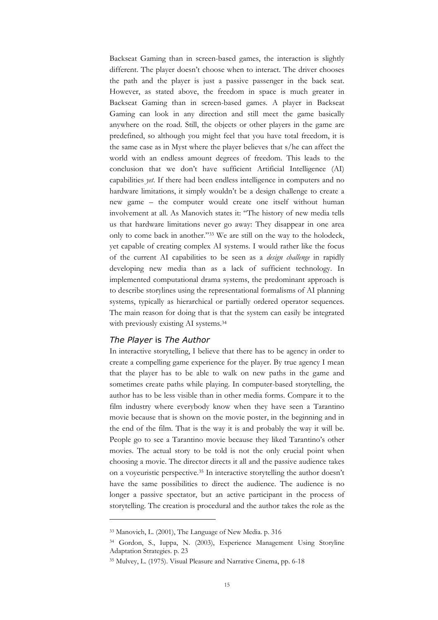Backseat Gaming than in screen-based games, the interaction is slightly different. The player doesn't choose when to interact. The driver chooses the path and the player is just a passive passenger in the back seat. However, as stated above, the freedom in space is much greater in Backseat Gaming than in screen-based games. A player in Backseat Gaming can look in any direction and still meet the game basically anywhere on the road. Still, the objects or other players in the game are predefined, so although you might feel that you have total freedom, it is the same case as in Myst where the player believes that s/he can affect the world with an endless amount degrees of freedom. This leads to the conclusion that we don't have sufficient Artificial Intelligence (AI) capabilities *yet*. If there had been endless intelligence in computers and no hardware limitations, it simply wouldn't be a design challenge to create a new game – the computer would create one itself without human involvement at all. As Manovich states it: "The history of new media tells us that hardware limitations never go away: They disappear in one area only to come back in another."33 We are still on the way to the holodeck, yet capable of creating complex AI systems. I would rather like the focus of the current AI capabilities to be seen as a *design challenge* in rapidly developing new media than as a lack of sufficient technology. In implemented computational drama systems, the predominant approach is to describe storylines using the representational formalisms of AI planning systems, typically as hierarchical or partially ordered operator sequences. The main reason for doing that is that the system can easily be integrated with previously existing AI systems.34

#### *The Player* is *The Author*

 $\overline{a}$ 

In interactive storytelling, I believe that there has to be agency in order to create a compelling game experience for the player. By true agency I mean that the player has to be able to walk on new paths in the game and sometimes create paths while playing. In computer-based storytelling, the author has to be less visible than in other media forms. Compare it to the film industry where everybody know when they have seen a Tarantino movie because that is shown on the movie poster, in the beginning and in the end of the film. That is the way it is and probably the way it will be. People go to see a Tarantino movie because they liked Tarantino's other movies. The actual story to be told is not the only crucial point when choosing a movie. The director directs it all and the passive audience takes on a voyeuristic perspective.35 In interactive storytelling the author doesn't have the same possibilities to direct the audience. The audience is no longer a passive spectator, but an active participant in the process of storytelling. The creation is procedural and the author takes the role as the

<sup>33</sup> Manovich, L. (2001), The Language of New Media. p. 316

<sup>34</sup> Gordon, S., Iuppa, N. (2003), Experience Management Using Storyline Adaptation Strategies. p. 23

<sup>35</sup> Mulvey, L. (1975). Visual Pleasure and Narrative Cinema, pp. 6-18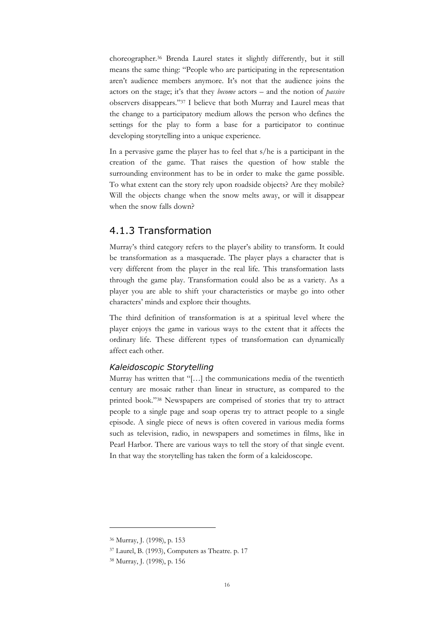choreographer.36 Brenda Laurel states it slightly differently, but it still means the same thing: "People who are participating in the representation aren't audience members anymore. It's not that the audience joins the actors on the stage; it's that they *become* actors – and the notion of *passive* observers disappears."37 I believe that both Murray and Laurel meas that the change to a participatory medium allows the person who defines the settings for the play to form a base for a participator to continue developing storytelling into a unique experience.

In a pervasive game the player has to feel that s/he is a participant in the creation of the game. That raises the question of how stable the surrounding environment has to be in order to make the game possible. To what extent can the story rely upon roadside objects? Are they mobile? Will the objects change when the snow melts away, or will it disappear when the snow falls down?

### 4.1.3 Transformation

Murray's third category refers to the player's ability to transform. It could be transformation as a masquerade. The player plays a character that is very different from the player in the real life. This transformation lasts through the game play. Transformation could also be as a variety. As a player you are able to shift your characteristics or maybe go into other characters' minds and explore their thoughts.

The third definition of transformation is at a spiritual level where the player enjoys the game in various ways to the extent that it affects the ordinary life. These different types of transformation can dynamically affect each other.

#### *Kaleidoscopic Storytelling*

Murray has written that "[…] the communications media of the twentieth century are mosaic rather than linear in structure, as compared to the printed book."38 Newspapers are comprised of stories that try to attract people to a single page and soap operas try to attract people to a single episode. A single piece of news is often covered in various media forms such as television, radio, in newspapers and sometimes in films, like in Pearl Harbor. There are various ways to tell the story of that single event. In that way the storytelling has taken the form of a kaleidoscope.

<sup>36</sup> Murray, J. (1998), p. 153

<sup>37</sup> Laurel, B. (1993), Computers as Theatre. p. 17

<sup>38</sup> Murray, J. (1998), p. 156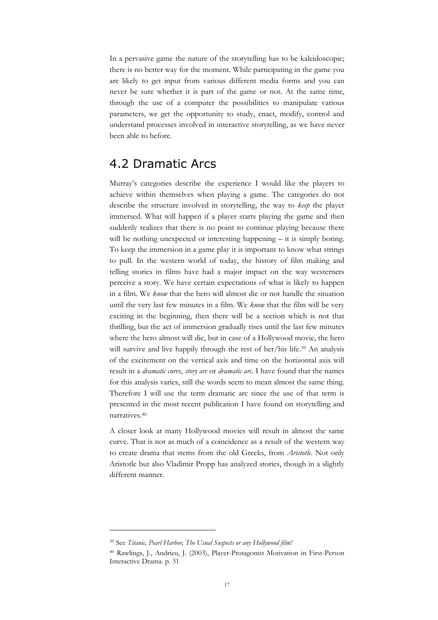In a pervasive game the nature of the storytelling has to be kaleidoscopic; there is no better way for the moment. While participating in the game you are likely to get input from various different media forms and you can never be sure whether it is part of the game or not. At the same time, through the use of a computer the possibilities to manipulate various parameters, we get the opportunity to study, enact, modify, control and understand processes involved in interactive storytelling, as we have never been able to before.

## 4.2 Dramatic Arcs

Murray's categories describe the experience I would like the players to achieve within themselves when playing a game. The categories do not describe the structure involved in storytelling, the way to *keep* the player immersed. What will happen if a player starts playing the game and then suddenly realizes that there is no point to continue playing because there will be nothing unexpected or interesting happening – it is simply boring. To keep the immersion in a game play it is important to know what strings to pull. In the western world of today, the history of film making and telling stories in films have had a major impact on the way westerners perceive a story. We have certain expectations of what is likely to happen in a film. We *know* that the hero will almost die or not handle the situation until the very last few minutes in a film. We *know* that the film will be very exciting in the beginning, then there will be a section which is not that thrilling, but the act of immersion gradually rises until the last few minutes where the hero almost will die, but in case of a Hollywood movie, the hero will survive and live happily through the rest of her/his life.<sup>39</sup> An analysis of the excitement on the vertical axis and time on the horizontal axis will result in a *dramatic curve*, *story arc* or *dramatic arc*. I have found that the names for this analysis varies, still the words seem to mean almost the same thing. Therefore I will use the term dramatic arc since the use of that term is presented in the most recent publication I have found on storytelling and narratives.40

A closer look at many Hollywood movies will result in almost the same curve. That is not as much of a coincidence as a result of the western way to create drama that stems from the old Greeks, from *Aristotle*. Not only Aristotle but also Vladimir Propp has analyzed stories, though in a slightly different manner.

<sup>39</sup> See *Titanic, Pearl Harbor, The Usual Suspects or any Hollywood film!*

<sup>40</sup> Rawlings, J., Andrieu, J. (2003), Player-Protagonist Motivation in First-Person Interactive Drama. p. 31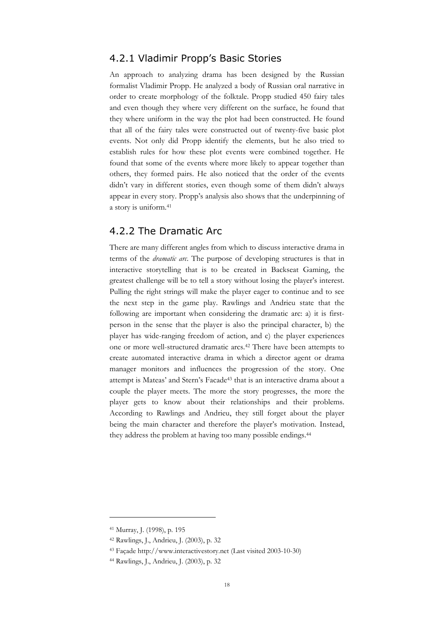### 4.2.1 Vladimir Propp's Basic Stories

An approach to analyzing drama has been designed by the Russian formalist Vladimir Propp. He analyzed a body of Russian oral narrative in order to create morphology of the folktale. Propp studied 450 fairy tales and even though they where very different on the surface, he found that they where uniform in the way the plot had been constructed. He found that all of the fairy tales were constructed out of twenty-five basic plot events. Not only did Propp identify the elements, but he also tried to establish rules for how these plot events were combined together. He found that some of the events where more likely to appear together than others, they formed pairs. He also noticed that the order of the events didn't vary in different stories, even though some of them didn't always appear in every story. Propp's analysis also shows that the underpinning of a story is uniform.41

### 4.2.2 The Dramatic Arc

There are many different angles from which to discuss interactive drama in terms of the *dramatic arc*. The purpose of developing structures is that in interactive storytelling that is to be created in Backseat Gaming, the greatest challenge will be to tell a story without losing the player's interest. Pulling the right strings will make the player eager to continue and to see the next step in the game play. Rawlings and Andrieu state that the following are important when considering the dramatic arc: a) it is firstperson in the sense that the player is also the principal character, b) the player has wide-ranging freedom of action, and c) the player experiences one or more well-structured dramatic arcs.42 There have been attempts to create automated interactive drama in which a director agent or drama manager monitors and influences the progression of the story. One attempt is Mateas' and Stern's Facade43 that is an interactive drama about a couple the player meets. The more the story progresses, the more the player gets to know about their relationships and their problems. According to Rawlings and Andrieu, they still forget about the player being the main character and therefore the player's motivation. Instead, they address the problem at having too many possible endings.<sup>44</sup>

<sup>41</sup> Murray, J. (1998), p. 195

<sup>42</sup> Rawlings, J., Andrieu, J. (2003), p. 32

<sup>43</sup> Façade http://www.interactivestory.net (Last visited 2003-10-30)

<sup>44</sup> Rawlings, J., Andrieu, J. (2003), p. 32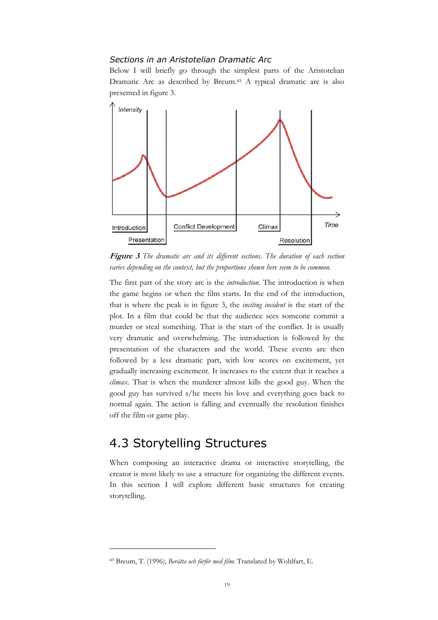#### *Sections in an Aristotelian Dramatic Arc*

Below I will briefly go through the simplest parts of the Aristotelian Dramatic Arc as described by Breum.45 A typical dramatic arc is also presented in figure 3.



**Figure 3** *The dramatic arc and its different sections. The duration of each section varies depending on the context, but the proportions shown here seem to be common.*

The first part of the story arc is the *introduction*. The introduction is when the game begins or when the film starts. In the end of the introduction, that is where the peak is in figure 3, the *inciting incident* is the start of the plot. In a film that could be that the audience sees someone commit a murder or steal something. That is the start of the conflict. It is usually very dramatic and overwhelming. The introduction is followed by the presentation of the characters and the world. These events are then followed by a less dramatic part, with low scores on excitement, yet gradually increasing excitement. It increases to the extent that it reaches a *climax*. That is when the murderer almost kills the good guy. When the good guy has survived s/he meets his love and everything goes back to normal again. The action is falling and eventually the resolution finishes off the film or game play.

# 4.3 Storytelling Structures

 $\overline{a}$ 

When composing an interactive drama or interactive storytelling, the creator is most likely to use a structure for organizing the different events. In this section I will explore different basic structures for creating storytelling.

<sup>45</sup> Breum, T. (1996), *Berätta och förför med film.* Translated by Wohlfart, E.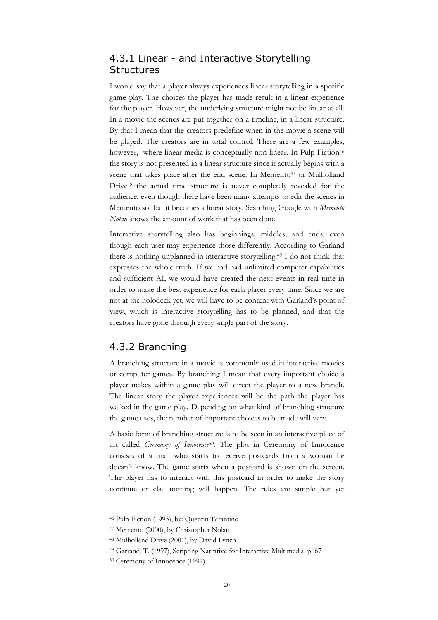## 4.3.1 Linear - and Interactive Storytelling **Structures**

I would say that a player always experiences linear storytelling in a specific game play. The choices the player has made result in a linear experience for the player. However, the underlying structure might not be linear at all. In a movie the scenes are put together on a timeline, in a linear structure. By that I mean that the creators predefine when in the movie a scene will be played. The creators are in total control. There are a few examples, however, where linear media is conceptually non-linear. In Pulp Fiction<sup>46</sup> the story is not presented in a linear structure since it actually begins with a scene that takes place after the end scene. In Memento<sup>47</sup> or Mulholland Drive48 the actual time structure is never completely revealed for the audience, even though there have been many attempts to edit the scenes in Memento so that it becomes a linear story. Searching Google with *Memento Nolan* shows the amount of work that has been done.

Interactive storytelling also has beginnings, middles, and ends, even though each user may experience those differently. According to Garland there is nothing unplanned in interactive storytelling.49 I do not think that expresses the whole truth. If we had had unlimited computer capabilities and sufficient AI, we would have created the next events in real time in order to make the best experience for each player every time. Since we are not at the holodeck yet, we will have to be content with Garland's point of view, which is interactive storytelling has to be planned, and that the creators have gone through every single part of the story.

### 4.3.2 Branching

A branching structure in a movie is commonly used in interactive movies or computer games. By branching I mean that every important choice a player makes within a game play will direct the player to a new branch. The linear story the player experiences will be the path the player has walked in the game play. Depending on what kind of branching structure the game uses, the number of important choices to be made will vary.

A basic form of branching structure is to be seen in an interactive piece of art called *Ceremony of Innocence<sup>50</sup>*. The plot in Ceremony of Innocence consists of a man who starts to receive postcards from a woman he doesn't know. The game starts when a postcard is shown on the screen. The player has to interact with this postcard in order to make the story continue or else nothing will happen. The rules are simple but yet

<sup>46</sup> Pulp Fiction (1993), by: Quentin Tarantino

<sup>47</sup> Memento (2000), by Christopher Nolan

<sup>48</sup> Mulholland Drive (2001), by David Lynch

<sup>49</sup> Garrand, T. (1997), Scripting Narrative for Interactive Multimedia. p. 67

<sup>50</sup> Ceremony of Innocence (1997)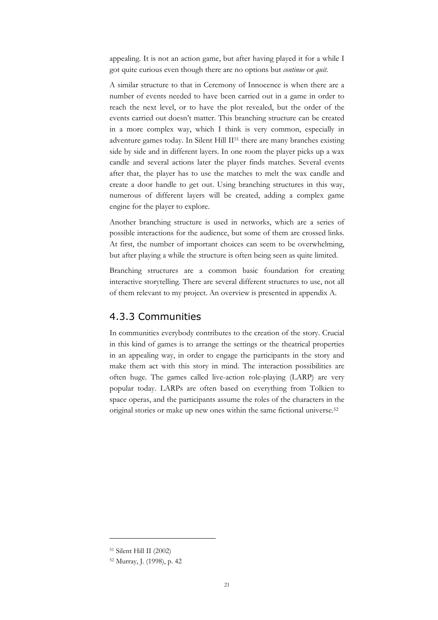appealing. It is not an action game, but after having played it for a while I got quite curious even though there are no options but *continue* or *quit.*

A similar structure to that in Ceremony of Innocence is when there are a number of events needed to have been carried out in a game in order to reach the next level, or to have the plot revealed, but the order of the events carried out doesn't matter. This branching structure can be created in a more complex way, which I think is very common, especially in adventure games today. In Silent Hill II51 there are many branches existing side by side and in different layers. In one room the player picks up a wax candle and several actions later the player finds matches. Several events after that, the player has to use the matches to melt the wax candle and create a door handle to get out. Using branching structures in this way, numerous of different layers will be created, adding a complex game engine for the player to explore.

Another branching structure is used in networks, which are a series of possible interactions for the audience, but some of them are crossed links. At first, the number of important choices can seem to be overwhelming, but after playing a while the structure is often being seen as quite limited.

Branching structures are a common basic foundation for creating interactive storytelling. There are several different structures to use, not all of them relevant to my project. An overview is presented in appendix A.

## 4.3.3 Communities

In communities everybody contributes to the creation of the story. Crucial in this kind of games is to arrange the settings or the theatrical properties in an appealing way, in order to engage the participants in the story and make them act with this story in mind. The interaction possibilities are often huge. The games called live-action role-playing (LARP) are very popular today. LARPs are often based on everything from Tolkien to space operas, and the participants assume the roles of the characters in the original stories or make up new ones within the same fictional universe.52

<sup>51</sup> Silent Hill II (2002)

<sup>52</sup> Murray, J. (1998), p. 42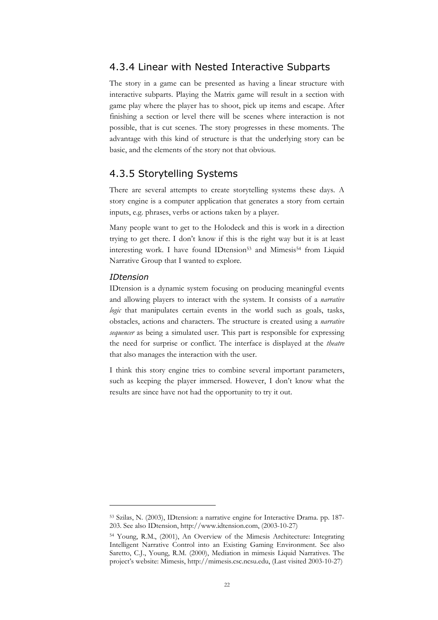#### 4.3.4 Linear with Nested Interactive Subparts

The story in a game can be presented as having a linear structure with interactive subparts. Playing the Matrix game will result in a section with game play where the player has to shoot, pick up items and escape. After finishing a section or level there will be scenes where interaction is not possible, that is cut scenes. The story progresses in these moments. The advantage with this kind of structure is that the underlying story can be basic, and the elements of the story not that obvious.

### 4.3.5 Storytelling Systems

There are several attempts to create storytelling systems these days. A story engine is a computer application that generates a story from certain inputs, e.g. phrases, verbs or actions taken by a player.

Many people want to get to the Holodeck and this is work in a direction trying to get there. I don't know if this is the right way but it is at least interesting work. I have found IDtension<sup>53</sup> and Mimesis<sup>54</sup> from Liquid Narrative Group that I wanted to explore.

#### *IDtension*

 $\overline{a}$ 

IDtension is a dynamic system focusing on producing meaningful events and allowing players to interact with the system. It consists of a *narrative logic* that manipulates certain events in the world such as goals, tasks, obstacles, actions and characters. The structure is created using a *narrative sequencer* as being a simulated user. This part is responsible for expressing the need for surprise or conflict. The interface is displayed at the *theatre* that also manages the interaction with the user.

I think this story engine tries to combine several important parameters, such as keeping the player immersed. However, I don't know what the results are since have not had the opportunity to try it out.

<sup>53</sup> Szilas, N. (2003), IDtension: a narrative engine for Interactive Drama. pp. 187- 203. See also IDtension, http://www.idtension.com, (2003-10-27)

<sup>54</sup> Young, R.M., (2001), An Overview of the Mimesis Architecture: Integrating Intelligent Narrative Control into an Existing Gaming Environment. See also Saretto, C.J., Young, R.M. (2000), Mediation in mimesis Liquid Narratives. The project's website: Mimesis, http://mimesis.csc.ncsu.edu, (Last visited 2003-10-27)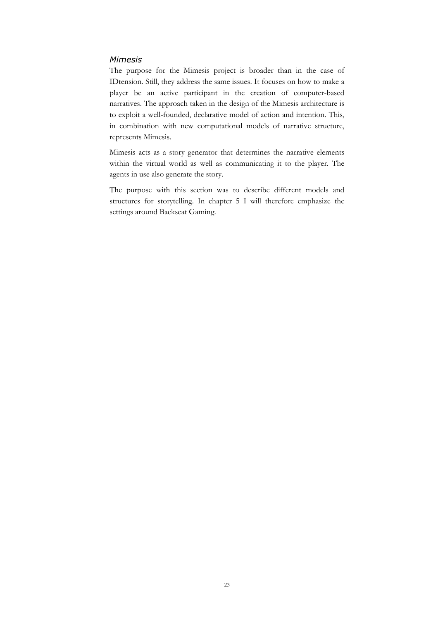#### *Mimesis*

The purpose for the Mimesis project is broader than in the case of IDtension. Still, they address the same issues. It focuses on how to make a player be an active participant in the creation of computer-based narratives. The approach taken in the design of the Mimesis architecture is to exploit a well-founded, declarative model of action and intention. This, in combination with new computational models of narrative structure, represents Mimesis.

Mimesis acts as a story generator that determines the narrative elements within the virtual world as well as communicating it to the player. The agents in use also generate the story.

The purpose with this section was to describe different models and structures for storytelling. In chapter 5 I will therefore emphasize the settings around Backseat Gaming.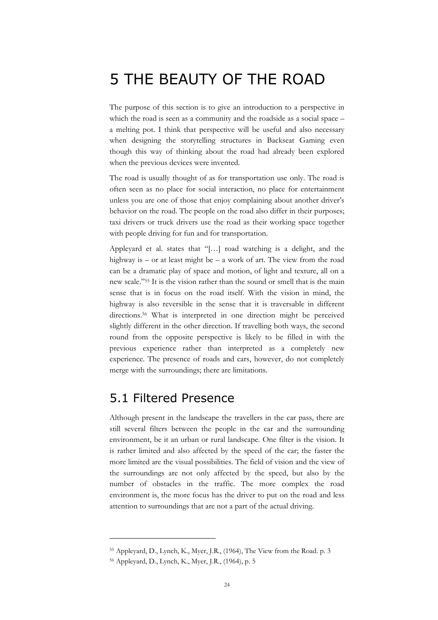# 5 THE BEAUTY OF THE ROAD

The purpose of this section is to give an introduction to a perspective in which the road is seen as a community and the roadside as a social space – a melting pot. I think that perspective will be useful and also necessary when designing the storytelling structures in Backseat Gaming even though this way of thinking about the road had already been explored when the previous devices were invented.

The road is usually thought of as for transportation use only. The road is often seen as no place for social interaction, no place for entertainment unless you are one of those that enjoy complaining about another driver's behavior on the road. The people on the road also differ in their purposes; taxi drivers or truck drivers use the road as their working space together with people driving for fun and for transportation.

Appleyard et al. states that "[…] road watching is a delight, and the highway is – or at least might be – a work of art. The view from the road can be a dramatic play of space and motion, of light and texture, all on a new scale."55 It is the vision rather than the sound or smell that is the main sense that is in focus on the road itself. With the vision in mind, the highway is also reversible in the sense that it is traversable in different directions.<sup>56</sup> What is interpreted in one direction might be perceived slightly different in the other direction. If travelling both ways, the second round from the opposite perspective is likely to be filled in with the previous experience rather than interpreted as a completely new experience. The presence of roads and cars, however, do not completely merge with the surroundings; there are limitations.

## 5.1 Filtered Presence

Although present in the landscape the travellers in the car pass, there are still several filters between the people in the car and the surrounding environment, be it an urban or rural landscape. One filter is the vision. It is rather limited and also affected by the speed of the car; the faster the more limited are the visual possibilities. The field of vision and the view of the surroundings are not only affected by the speed, but also by the number of obstacles in the traffic. The more complex the road environment is, the more focus has the driver to put on the road and less attention to surroundings that are not a part of the actual driving.

<sup>55</sup> Appleyard, D., Lynch, K., Myer, J.R., (1964), The View from the Road. p. 3

<sup>56</sup> Appleyard, D., Lynch, K., Myer, J.R., (1964), p. 5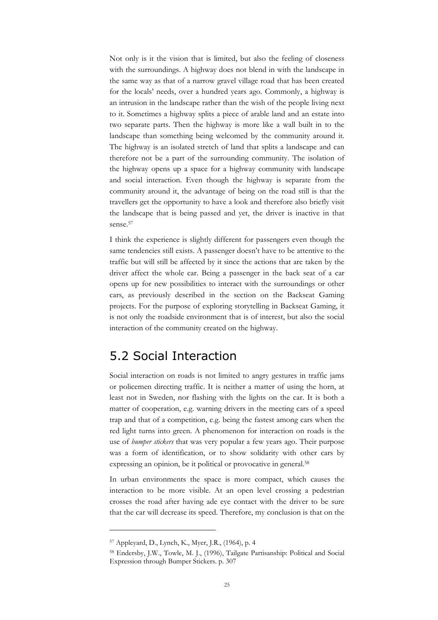Not only is it the vision that is limited, but also the feeling of closeness with the surroundings. A highway does not blend in with the landscape in the same way as that of a narrow gravel village road that has been created for the locals' needs, over a hundred years ago. Commonly, a highway is an intrusion in the landscape rather than the wish of the people living next to it. Sometimes a highway splits a piece of arable land and an estate into two separate parts. Then the highway is more like a wall built in to the landscape than something being welcomed by the community around it. The highway is an isolated stretch of land that splits a landscape and can therefore not be a part of the surrounding community. The isolation of the highway opens up a space for a highway community with landscape and social interaction. Even though the highway is separate from the community around it, the advantage of being on the road still is that the travellers get the opportunity to have a look and therefore also briefly visit the landscape that is being passed and yet, the driver is inactive in that sense.57

I think the experience is slightly different for passengers even though the same tendencies still exists. A passenger doesn't have to be attentive to the traffic but will still be affected by it since the actions that are taken by the driver affect the whole car. Being a passenger in the back seat of a car opens up for new possibilities to interact with the surroundings or other cars, as previously described in the section on the Backseat Gaming projects. For the purpose of exploring storytelling in Backseat Gaming, it is not only the roadside environment that is of interest, but also the social interaction of the community created on the highway.

## 5.2 Social Interaction

Social interaction on roads is not limited to angry gestures in traffic jams or policemen directing traffic. It is neither a matter of using the horn, at least not in Sweden, nor flashing with the lights on the car. It is both a matter of cooperation, e.g. warning drivers in the meeting cars of a speed trap and that of a competition, e.g. being the fastest among cars when the red light turns into green. A phenomenon for interaction on roads is the use of *bumper stickers* that was very popular a few years ago. Their purpose was a form of identification, or to show solidarity with other cars by expressing an opinion, be it political or provocative in general.58

In urban environments the space is more compact, which causes the interaction to be more visible. At an open level crossing a pedestrian crosses the road after having ade eye contact with the driver to be sure that the car will decrease its speed. Therefore, my conclusion is that on the

<sup>57</sup> Appleyard, D., Lynch, K., Myer, J.R., (1964), p. 4

<sup>58</sup> Endersby, J.W., Towle, M. J., (1996), Tailgate Partisanship: Political and Social Expression through Bumper Stickers. p. 307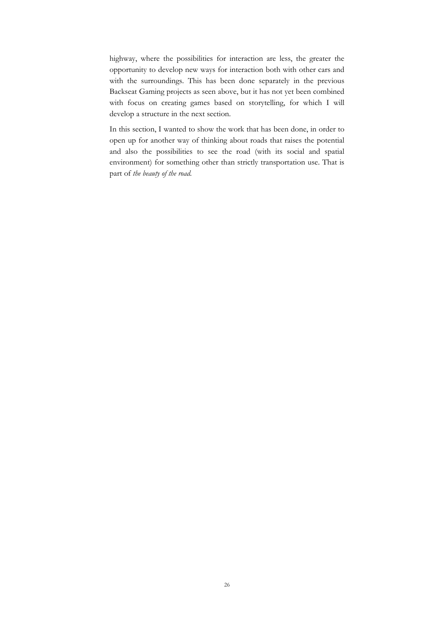highway, where the possibilities for interaction are less, the greater the opportunity to develop new ways for interaction both with other cars and with the surroundings. This has been done separately in the previous Backseat Gaming projects as seen above, but it has not yet been combined with focus on creating games based on storytelling, for which I will develop a structure in the next section.

In this section, I wanted to show the work that has been done, in order to open up for another way of thinking about roads that raises the potential and also the possibilities to see the road (with its social and spatial environment) for something other than strictly transportation use. That is part of *the beauty of the road.*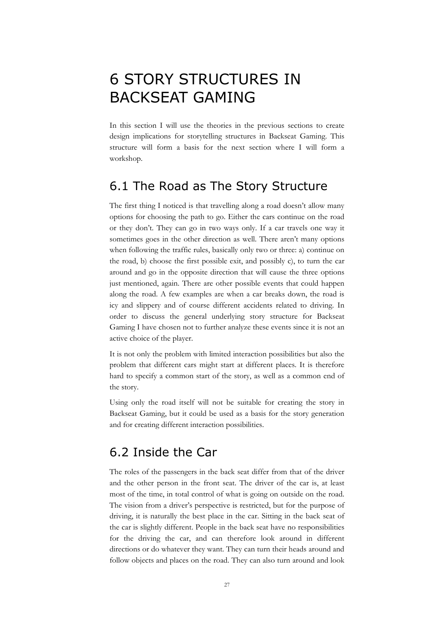# 6 STORY STRUCTURES IN BACKSEAT GAMING

In this section I will use the theories in the previous sections to create design implications for storytelling structures in Backseat Gaming. This structure will form a basis for the next section where I will form a workshop.

## 6.1 The Road as The Story Structure

The first thing I noticed is that travelling along a road doesn't allow many options for choosing the path to go. Either the cars continue on the road or they don't. They can go in two ways only. If a car travels one way it sometimes goes in the other direction as well. There aren't many options when following the traffic rules, basically only two or three: a) continue on the road, b) choose the first possible exit, and possibly c), to turn the car around and go in the opposite direction that will cause the three options just mentioned, again. There are other possible events that could happen along the road. A few examples are when a car breaks down, the road is icy and slippery and of course different accidents related to driving. In order to discuss the general underlying story structure for Backseat Gaming I have chosen not to further analyze these events since it is not an active choice of the player.

It is not only the problem with limited interaction possibilities but also the problem that different cars might start at different places. It is therefore hard to specify a common start of the story, as well as a common end of the story.

Using only the road itself will not be suitable for creating the story in Backseat Gaming, but it could be used as a basis for the story generation and for creating different interaction possibilities.

# 6.2 Inside the Car

The roles of the passengers in the back seat differ from that of the driver and the other person in the front seat. The driver of the car is, at least most of the time, in total control of what is going on outside on the road. The vision from a driver's perspective is restricted, but for the purpose of driving, it is naturally the best place in the car. Sitting in the back seat of the car is slightly different. People in the back seat have no responsibilities for the driving the car, and can therefore look around in different directions or do whatever they want. They can turn their heads around and follow objects and places on the road. They can also turn around and look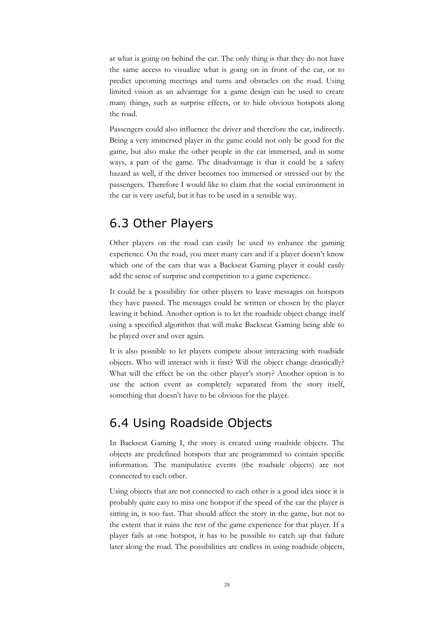at what is going on behind the car. The only thing is that they do not have the same access to visualize what is going on in front of the car, or to predict upcoming meetings and turns and obstacles on the road. Using limited vision as an advantage for a game design can be used to create many things, such as surprise effects, or to hide obvious hotspots along the road.

Passengers could also influence the driver and therefore the car, indirectly. Being a very immersed player in the game could not only be good for the game, but also make the other people in the car immersed, and in some ways, a part of the game. The disadvantage is that it could be a safety hazard as well, if the driver becomes too immersed or stressed out by the passengers. Therefore I would like to claim that the social environment in the car is very useful, but it has to be used in a sensible way.

### 6.3 Other Players

Other players on the road can easily be used to enhance the gaming experience. On the road, you meet many cars and if a player doesn't know which one of the cars that was a Backseat Gaming player it could easily add the sense of surprise and competition to a game experience.

It could be a possibility for other players to leave messages on hotspots they have passed. The messages could be written or chosen by the player leaving it behind. Another option is to let the roadside object change itself using a specified algorithm that will make Backseat Gaming being able to be played over and over again.

It is also possible to let players compete about interacting with roadside objects. Who will interact with it first? Will the object change drastically? What will the effect be on the other player's story? Another option is to use the action event as completely separated from the story itself, something that doesn't have to be obvious for the player.

### 6.4 Using Roadside Objects

In Backseat Gaming I, the story is created using roadside objects. The objects are predefined hotspots that are programmed to contain specific information. The manipulative events (the roadside objects) are not connected to each other.

Using objects that are not connected to each other is a good idea since it is probably quite easy to miss one hotspot if the speed of the car the player is sitting in, is too fast. That should affect the story in the game, but not to the extent that it ruins the rest of the game experience for that player. If a player fails at one hotspot, it has to be possible to catch up that failure later along the road. The possibilities are endless in using roadside objects,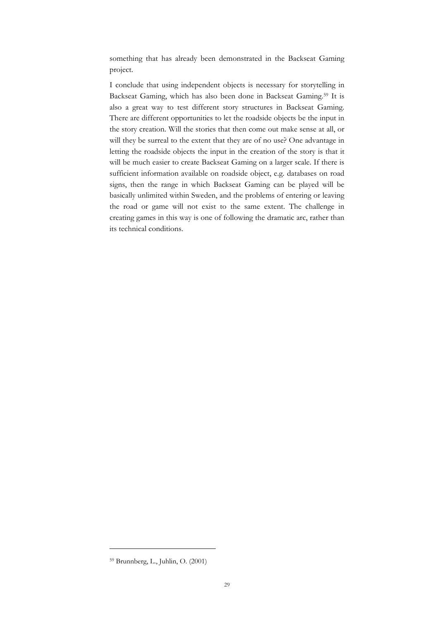something that has already been demonstrated in the Backseat Gaming project.

I conclude that using independent objects is necessary for storytelling in Backseat Gaming, which has also been done in Backseat Gaming.59 It is also a great way to test different story structures in Backseat Gaming. There are different opportunities to let the roadside objects be the input in the story creation. Will the stories that then come out make sense at all, or will they be surreal to the extent that they are of no use? One advantage in letting the roadside objects the input in the creation of the story is that it will be much easier to create Backseat Gaming on a larger scale. If there is sufficient information available on roadside object, e.g. databases on road signs, then the range in which Backseat Gaming can be played will be basically unlimited within Sweden, and the problems of entering or leaving the road or game will not exist to the same extent. The challenge in creating games in this way is one of following the dramatic arc, rather than its technical conditions.

<sup>59</sup> Brunnberg, L., Juhlin, O. (2001)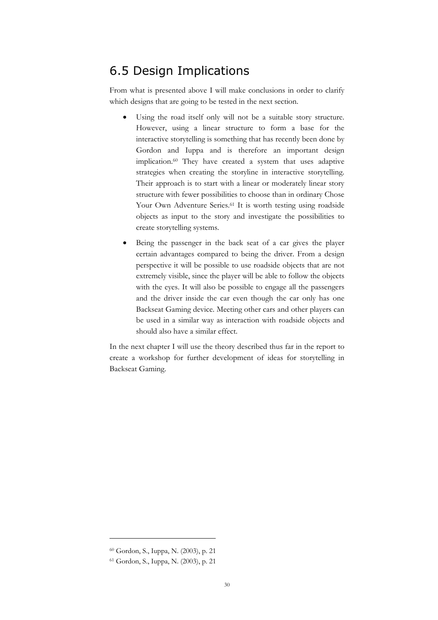### 6.5 Design Implications

From what is presented above I will make conclusions in order to clarify which designs that are going to be tested in the next section.

- Using the road itself only will not be a suitable story structure. However, using a linear structure to form a base for the interactive storytelling is something that has recently been done by Gordon and Iuppa and is therefore an important design implication.60 They have created a system that uses adaptive strategies when creating the storyline in interactive storytelling. Their approach is to start with a linear or moderately linear story structure with fewer possibilities to choose than in ordinary Chose Your Own Adventure Series.<sup>61</sup> It is worth testing using roadside objects as input to the story and investigate the possibilities to create storytelling systems.
- Being the passenger in the back seat of a car gives the player certain advantages compared to being the driver. From a design perspective it will be possible to use roadside objects that are not extremely visible, since the player will be able to follow the objects with the eyes. It will also be possible to engage all the passengers and the driver inside the car even though the car only has one Backseat Gaming device. Meeting other cars and other players can be used in a similar way as interaction with roadside objects and should also have a similar effect.

In the next chapter I will use the theory described thus far in the report to create a workshop for further development of ideas for storytelling in Backseat Gaming.

<sup>60</sup> Gordon, S., Iuppa, N. (2003), p. 21

<sup>61</sup> Gordon, S., Iuppa, N. (2003), p. 21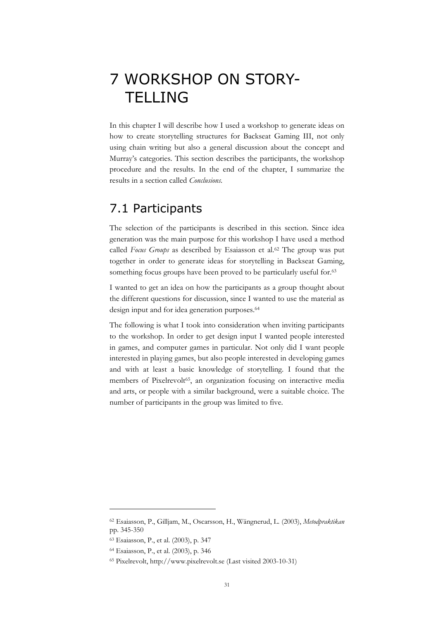# 7 WORKSHOP ON STORY-**TELLING**

In this chapter I will describe how I used a workshop to generate ideas on how to create storytelling structures for Backseat Gaming III, not only using chain writing but also a general discussion about the concept and Murray's categories. This section describes the participants, the workshop procedure and the results. In the end of the chapter, I summarize the results in a section called *Conclusions*.

### 7.1 Participants

The selection of the participants is described in this section. Since idea generation was the main purpose for this workshop I have used a method called *Focus Groups* as described by Esaiasson et al.<sup>62</sup> The group was put together in order to generate ideas for storytelling in Backseat Gaming, something focus groups have been proved to be particularly useful for.<sup>63</sup>

I wanted to get an idea on how the participants as a group thought about the different questions for discussion, since I wanted to use the material as design input and for idea generation purposes.<sup>64</sup>

The following is what I took into consideration when inviting participants to the workshop. In order to get design input I wanted people interested in games, and computer games in particular. Not only did I want people interested in playing games, but also people interested in developing games and with at least a basic knowledge of storytelling. I found that the members of Pixelrevolt<sup>65</sup>, an organization focusing on interactive media and arts, or people with a similar background, were a suitable choice. The number of participants in the group was limited to five.

<sup>62</sup> Esaiasson, P., Gilljam, M., Oscarsson, H., Wängnerud, L. (2003), *Metodpraktikan* pp. 345-350

<sup>63</sup> Esaiasson, P., et al. (2003), p. 347

<sup>64</sup> Esaiasson, P., et al. (2003), p. 346

<sup>65</sup> Pixelrevolt, http://www.pixelrevolt.se (Last visited 2003-10-31)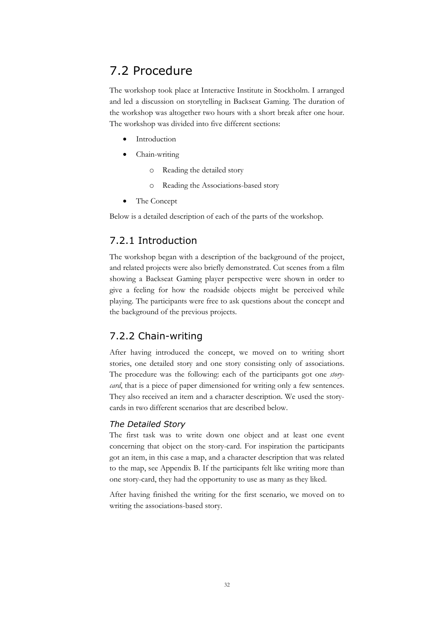## 7.2 Procedure

The workshop took place at Interactive Institute in Stockholm. I arranged and led a discussion on storytelling in Backseat Gaming. The duration of the workshop was altogether two hours with a short break after one hour. The workshop was divided into five different sections:

- **Introduction**
- Chain-writing
	- o Reading the detailed story
	- o Reading the Associations-based story
- The Concept

Below is a detailed description of each of the parts of the workshop.

### 7.2.1 Introduction

The workshop began with a description of the background of the project, and related projects were also briefly demonstrated. Cut scenes from a film showing a Backseat Gaming player perspective were shown in order to give a feeling for how the roadside objects might be perceived while playing. The participants were free to ask questions about the concept and the background of the previous projects.

### 7.2.2 Chain-writing

After having introduced the concept, we moved on to writing short stories, one detailed story and one story consisting only of associations. The procedure was the following: each of the participants got one *storycard*, that is a piece of paper dimensioned for writing only a few sentences. They also received an item and a character description. We used the storycards in two different scenarios that are described below.

#### *The Detailed Story*

The first task was to write down one object and at least one event concerning that object on the story-card. For inspiration the participants got an item, in this case a map, and a character description that was related to the map, see Appendix B. If the participants felt like writing more than one story-card, they had the opportunity to use as many as they liked.

After having finished the writing for the first scenario, we moved on to writing the associations-based story.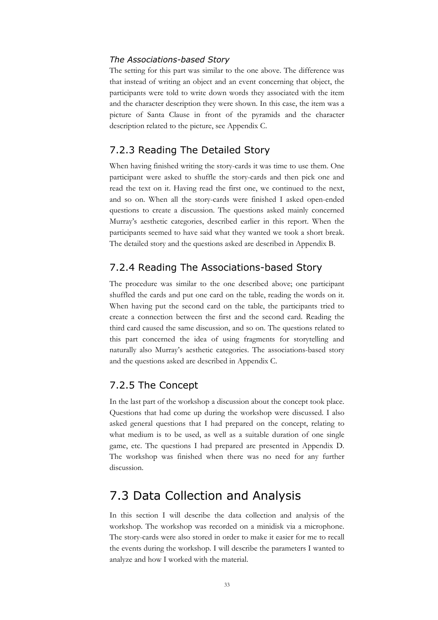#### *The Associations-based Story*

The setting for this part was similar to the one above. The difference was that instead of writing an object and an event concerning that object, the participants were told to write down words they associated with the item and the character description they were shown. In this case, the item was a picture of Santa Clause in front of the pyramids and the character description related to the picture, see Appendix C.

#### 7.2.3 Reading The Detailed Story

When having finished writing the story-cards it was time to use them. One participant were asked to shuffle the story-cards and then pick one and read the text on it. Having read the first one, we continued to the next, and so on. When all the story-cards were finished I asked open-ended questions to create a discussion. The questions asked mainly concerned Murray's aesthetic categories, described earlier in this report. When the participants seemed to have said what they wanted we took a short break. The detailed story and the questions asked are described in Appendix B.

#### 7.2.4 Reading The Associations-based Story

The procedure was similar to the one described above; one participant shuffled the cards and put one card on the table, reading the words on it. When having put the second card on the table, the participants tried to create a connection between the first and the second card. Reading the third card caused the same discussion, and so on. The questions related to this part concerned the idea of using fragments for storytelling and naturally also Murray's aesthetic categories. The associations-based story and the questions asked are described in Appendix C.

#### 7.2.5 The Concept

In the last part of the workshop a discussion about the concept took place. Questions that had come up during the workshop were discussed. I also asked general questions that I had prepared on the concept, relating to what medium is to be used, as well as a suitable duration of one single game, etc. The questions I had prepared are presented in Appendix D. The workshop was finished when there was no need for any further discussion.

### 7.3 Data Collection and Analysis

In this section I will describe the data collection and analysis of the workshop. The workshop was recorded on a minidisk via a microphone. The story-cards were also stored in order to make it easier for me to recall the events during the workshop. I will describe the parameters I wanted to analyze and how I worked with the material.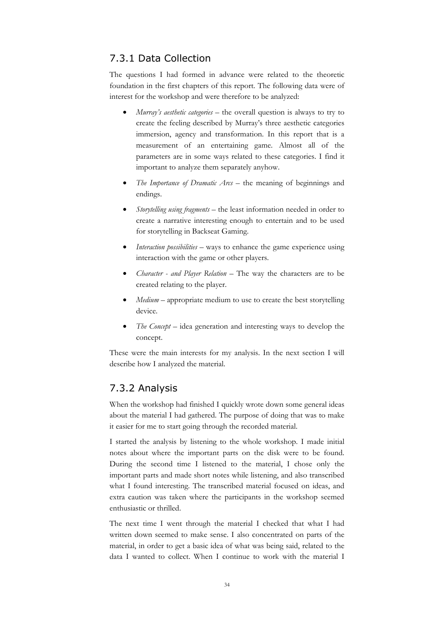### 7.3.1 Data Collection

The questions I had formed in advance were related to the theoretic foundation in the first chapters of this report. The following data were of interest for the workshop and were therefore to be analyzed:

- *Murray's aesthetic categories* the overall question is always to try to create the feeling described by Murray's three aesthetic categories immersion, agency and transformation. In this report that is a measurement of an entertaining game. Almost all of the parameters are in some ways related to these categories. I find it important to analyze them separately anyhow.
- *The Importance of Dramatic Arcs* the meaning of beginnings and endings.
- *Storytelling using fragments* the least information needed in order to create a narrative interesting enough to entertain and to be used for storytelling in Backseat Gaming.
- *Interaction possibilities* ways to enhance the game experience using interaction with the game or other players.
- *Character and Player Relation*  The way the characters are to be created relating to the player.
- *Medium* appropriate medium to use to create the best storytelling device.
- *The Concept* idea generation and interesting ways to develop the concept.

These were the main interests for my analysis. In the next section I will describe how I analyzed the material.

### 7.3.2 Analysis

When the workshop had finished I quickly wrote down some general ideas about the material I had gathered. The purpose of doing that was to make it easier for me to start going through the recorded material.

I started the analysis by listening to the whole workshop. I made initial notes about where the important parts on the disk were to be found. During the second time I listened to the material, I chose only the important parts and made short notes while listening, and also transcribed what I found interesting. The transcribed material focused on ideas, and extra caution was taken where the participants in the workshop seemed enthusiastic or thrilled.

The next time I went through the material I checked that what I had written down seemed to make sense. I also concentrated on parts of the material, in order to get a basic idea of what was being said, related to the data I wanted to collect. When I continue to work with the material I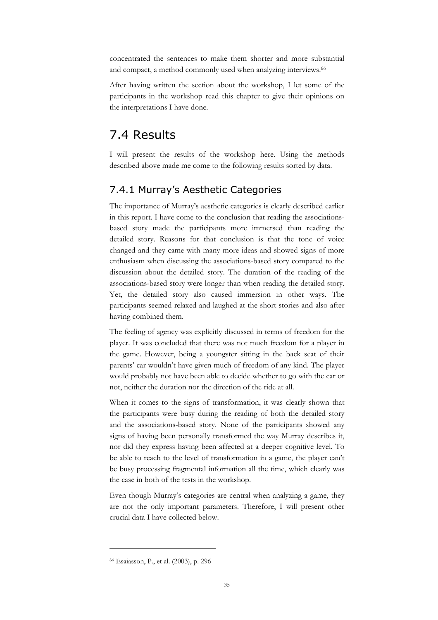concentrated the sentences to make them shorter and more substantial and compact, a method commonly used when analyzing interviews.<sup>66</sup>

After having written the section about the workshop, I let some of the participants in the workshop read this chapter to give their opinions on the interpretations I have done.

### 7.4 Results

I will present the results of the workshop here. Using the methods described above made me come to the following results sorted by data.

### 7.4.1 Murray's Aesthetic Categories

The importance of Murray's aesthetic categories is clearly described earlier in this report. I have come to the conclusion that reading the associationsbased story made the participants more immersed than reading the detailed story. Reasons for that conclusion is that the tone of voice changed and they came with many more ideas and showed signs of more enthusiasm when discussing the associations-based story compared to the discussion about the detailed story. The duration of the reading of the associations-based story were longer than when reading the detailed story. Yet, the detailed story also caused immersion in other ways. The participants seemed relaxed and laughed at the short stories and also after having combined them.

The feeling of agency was explicitly discussed in terms of freedom for the player. It was concluded that there was not much freedom for a player in the game. However, being a youngster sitting in the back seat of their parents' car wouldn't have given much of freedom of any kind. The player would probably not have been able to decide whether to go with the car or not, neither the duration nor the direction of the ride at all.

When it comes to the signs of transformation, it was clearly shown that the participants were busy during the reading of both the detailed story and the associations-based story. None of the participants showed any signs of having been personally transformed the way Murray describes it, nor did they express having been affected at a deeper cognitive level. To be able to reach to the level of transformation in a game, the player can't be busy processing fragmental information all the time, which clearly was the case in both of the tests in the workshop.

Even though Murray's categories are central when analyzing a game, they are not the only important parameters. Therefore, I will present other crucial data I have collected below.

<sup>66</sup> Esaiasson, P., et al. (2003), p. 296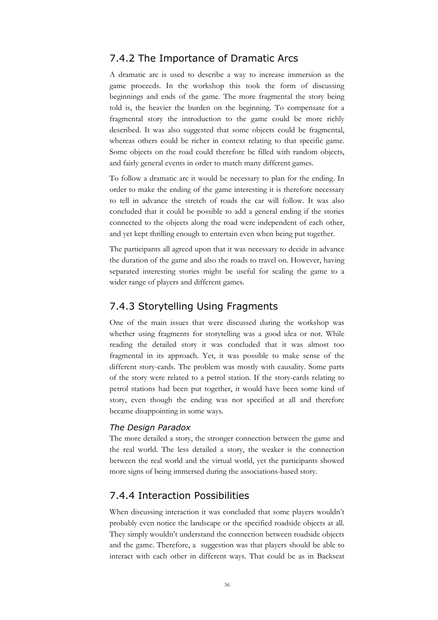#### 7.4.2 The Importance of Dramatic Arcs

A dramatic arc is used to describe a way to increase immersion as the game proceeds. In the workshop this took the form of discussing beginnings and ends of the game. The more fragmental the story being told is, the heavier the burden on the beginning. To compensate for a fragmental story the introduction to the game could be more richly described. It was also suggested that some objects could be fragmental, whereas others could be richer in context relating to that specific game. Some objects on the road could therefore be filled with random objects, and fairly general events in order to match many different games.

To follow a dramatic arc it would be necessary to plan for the ending. In order to make the ending of the game interesting it is therefore necessary to tell in advance the stretch of roads the car will follow. It was also concluded that it could be possible to add a general ending if the stories connected to the objects along the road were independent of each other, and yet kept thrilling enough to entertain even when being put together.

The participants all agreed upon that it was necessary to decide in advance the duration of the game and also the roads to travel on. However, having separated interesting stories might be useful for scaling the game to a wider range of players and different games.

#### 7.4.3 Storytelling Using Fragments

One of the main issues that were discussed during the workshop was whether using fragments for storytelling was a good idea or not. While reading the detailed story it was concluded that it was almost too fragmental in its approach. Yet, it was possible to make sense of the different story-cards. The problem was mostly with causality. Some parts of the story were related to a petrol station. If the story-cards relating to petrol stations had been put together, it would have been some kind of story, even though the ending was not specified at all and therefore became disappointing in some ways.

#### *The Design Paradox*

The more detailed a story, the stronger connection between the game and the real world. The less detailed a story, the weaker is the connection between the real world and the virtual world, yet the participants showed more signs of being immersed during the associations-based story.

#### 7.4.4 Interaction Possibilities

When discussing interaction it was concluded that some players wouldn't probably even notice the landscape or the specified roadside objects at all. They simply wouldn't understand the connection between roadside objects and the game. Therefore, a suggestion was that players should be able to interact with each other in different ways. That could be as in Backseat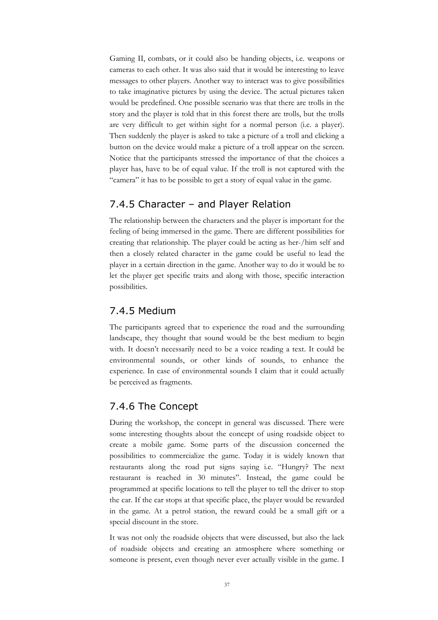Gaming II, combats, or it could also be handing objects, i.e. weapons or cameras to each other. It was also said that it would be interesting to leave messages to other players. Another way to interact was to give possibilities to take imaginative pictures by using the device. The actual pictures taken would be predefined. One possible scenario was that there are trolls in the story and the player is told that in this forest there are trolls, but the trolls are very difficult to get within sight for a normal person (i.e. a player). Then suddenly the player is asked to take a picture of a troll and clicking a button on the device would make a picture of a troll appear on the screen. Notice that the participants stressed the importance of that the choices a player has, have to be of equal value. If the troll is not captured with the "camera" it has to be possible to get a story of equal value in the game.

#### 7.4.5 Character – and Player Relation

The relationship between the characters and the player is important for the feeling of being immersed in the game. There are different possibilities for creating that relationship. The player could be acting as her-/him self and then a closely related character in the game could be useful to lead the player in a certain direction in the game. Another way to do it would be to let the player get specific traits and along with those, specific interaction possibilities.

#### 7.4.5 Medium

The participants agreed that to experience the road and the surrounding landscape, they thought that sound would be the best medium to begin with. It doesn't necessarily need to be a voice reading a text. It could be environmental sounds, or other kinds of sounds, to enhance the experience. In case of environmental sounds I claim that it could actually be perceived as fragments.

### 7.4.6 The Concept

During the workshop, the concept in general was discussed. There were some interesting thoughts about the concept of using roadside object to create a mobile game. Some parts of the discussion concerned the possibilities to commercialize the game. Today it is widely known that restaurants along the road put signs saying i.e. "Hungry? The next restaurant is reached in 30 minutes". Instead, the game could be programmed at specific locations to tell the player to tell the driver to stop the car. If the car stops at that specific place, the player would be rewarded in the game. At a petrol station, the reward could be a small gift or a special discount in the store.

It was not only the roadside objects that were discussed, but also the lack of roadside objects and creating an atmosphere where something or someone is present, even though never ever actually visible in the game. I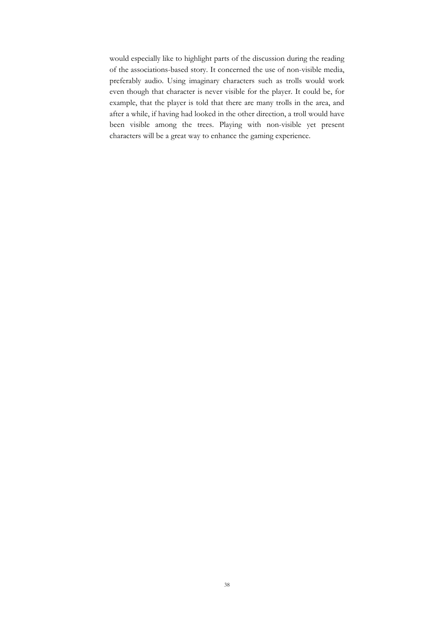would especially like to highlight parts of the discussion during the reading of the associations-based story. It concerned the use of non-visible media, preferably audio. Using imaginary characters such as trolls would work even though that character is never visible for the player. It could be, for example, that the player is told that there are many trolls in the area, and after a while, if having had looked in the other direction, a troll would have been visible among the trees. Playing with non-visible yet present characters will be a great way to enhance the gaming experience.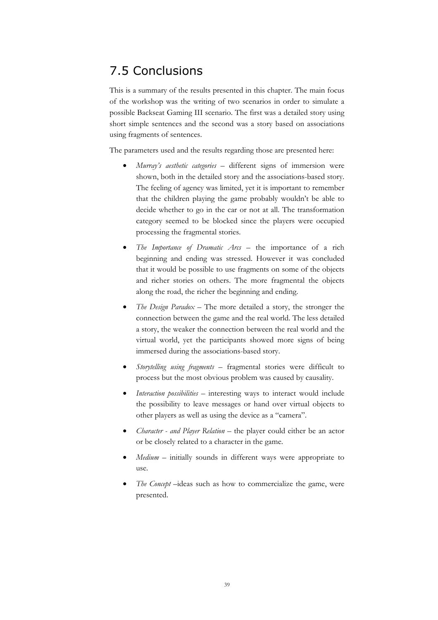# 7.5 Conclusions

This is a summary of the results presented in this chapter. The main focus of the workshop was the writing of two scenarios in order to simulate a possible Backseat Gaming III scenario. The first was a detailed story using short simple sentences and the second was a story based on associations using fragments of sentences.

The parameters used and the results regarding those are presented here:

- *Murray's aesthetic categories* different signs of immersion were shown, both in the detailed story and the associations-based story. The feeling of agency was limited, yet it is important to remember that the children playing the game probably wouldn't be able to decide whether to go in the car or not at all. The transformation category seemed to be blocked since the players were occupied processing the fragmental stories.
- *The Importance of Dramatic Arcs* the importance of a rich beginning and ending was stressed. However it was concluded that it would be possible to use fragments on some of the objects and richer stories on others. The more fragmental the objects along the road, the richer the beginning and ending.
- *The Design Paradox –* The more detailed a story, the stronger the connection between the game and the real world. The less detailed a story, the weaker the connection between the real world and the virtual world, yet the participants showed more signs of being immersed during the associations-based story.
- *Storytelling using fragments* fragmental stories were difficult to process but the most obvious problem was caused by causality.
- *Interaction possibilities* interesting ways to interact would include the possibility to leave messages or hand over virtual objects to other players as well as using the device as a "camera".
- *Character and Player Relation*  the player could either be an actor or be closely related to a character in the game.
- Medium initially sounds in different ways were appropriate to use.
- *The Concept* –ideas such as how to commercialize the game, were presented.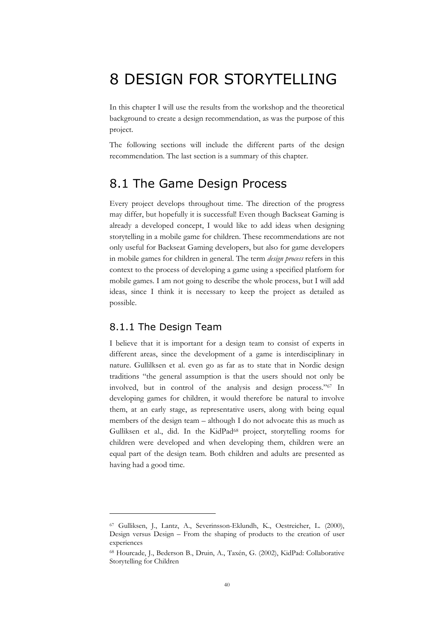# 8 DESIGN FOR STORYTELLING

In this chapter I will use the results from the workshop and the theoretical background to create a design recommendation, as was the purpose of this project.

The following sections will include the different parts of the design recommendation. The last section is a summary of this chapter.

### 8.1 The Game Design Process

Every project develops throughout time. The direction of the progress may differ, but hopefully it is successful! Even though Backseat Gaming is already a developed concept, I would like to add ideas when designing storytelling in a mobile game for children. These recommendations are not only useful for Backseat Gaming developers, but also for game developers in mobile games for children in general. The term *design process* refers in this context to the process of developing a game using a specified platform for mobile games. I am not going to describe the whole process, but I will add ideas, since I think it is necessary to keep the project as detailed as possible.

#### 8.1.1 The Design Team

 $\overline{a}$ 

I believe that it is important for a design team to consist of experts in different areas, since the development of a game is interdisciplinary in nature. Gullilksen et al. even go as far as to state that in Nordic design traditions "the general assumption is that the users should not only be involved, but in control of the analysis and design process."67 In developing games for children, it would therefore be natural to involve them, at an early stage, as representative users, along with being equal members of the design team – although I do not advocate this as much as Gulliksen et al., did. In the KidPad<sup>68</sup> project, storytelling rooms for children were developed and when developing them, children were an equal part of the design team. Both children and adults are presented as having had a good time.

<sup>67</sup> Gulliksen, J., Lantz, A., Severinsson-Eklundh, K., Oestreicher, L. (2000), Design versus Design – From the shaping of products to the creation of user experiences

<sup>68</sup> Hourcade, J., Bederson B., Druin, A., Taxén, G. (2002), KidPad: Collaborative Storytelling for Children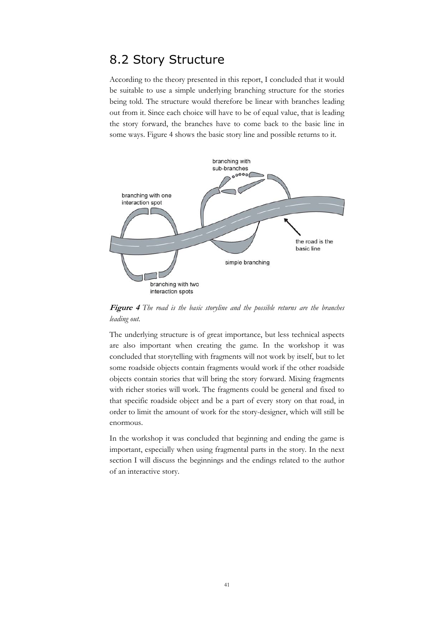### 8.2 Story Structure

According to the theory presented in this report, I concluded that it would be suitable to use a simple underlying branching structure for the stories being told. The structure would therefore be linear with branches leading out from it. Since each choice will have to be of equal value, that is leading the story forward, the branches have to come back to the basic line in some ways. Figure 4 shows the basic story line and possible returns to it.



**Figure 4** *The road is the basic storyline and the possible returns are the branches leading out.*

The underlying structure is of great importance, but less technical aspects are also important when creating the game. In the workshop it was concluded that storytelling with fragments will not work by itself, but to let some roadside objects contain fragments would work if the other roadside objects contain stories that will bring the story forward. Mixing fragments with richer stories will work. The fragments could be general and fixed to that specific roadside object and be a part of every story on that road, in order to limit the amount of work for the story-designer, which will still be enormous.

In the workshop it was concluded that beginning and ending the game is important, especially when using fragmental parts in the story. In the next section I will discuss the beginnings and the endings related to the author of an interactive story.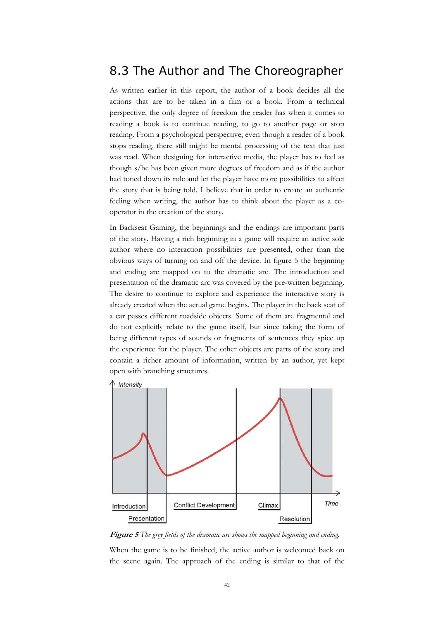### 8.3 The Author and The Choreographer

As written earlier in this report, the author of a book decides all the actions that are to be taken in a film or a book. From a technical perspective, the only degree of freedom the reader has when it comes to reading a book is to continue reading, to go to another page or stop reading. From a psychological perspective, even though a reader of a book stops reading, there still might be mental processing of the text that just was read. When designing for interactive media, the player has to feel as though s/he has been given more degrees of freedom and as if the author had toned down its role and let the player have more possibilities to affect the story that is being told. I believe that in order to create an authentic feeling when writing, the author has to think about the player as a cooperator in the creation of the story.

In Backseat Gaming, the beginnings and the endings are important parts of the story. Having a rich beginning in a game will require an active sole author where no interaction possibilities are presented, other than the obvious ways of turning on and off the device. In figure 5 the beginning and ending are mapped on to the dramatic arc. The introduction and presentation of the dramatic arc was covered by the pre-written beginning. The desire to continue to explore and experience the interactive story is already created when the actual game begins. The player in the back seat of a car passes different roadside objects. Some of them are fragmental and do not explicitly relate to the game itself, but since taking the form of being different types of sounds or fragments of sentences they spice up the experience for the player. The other objects are parts of the story and contain a richer amount of information, written by an author, yet kept open with branching structures.



**Figure 5** *The grey fields of the dramatic arc shows the mapped beginning and ending.*

When the game is to be finished, the active author is welcomed back on the scene again. The approach of the ending is similar to that of the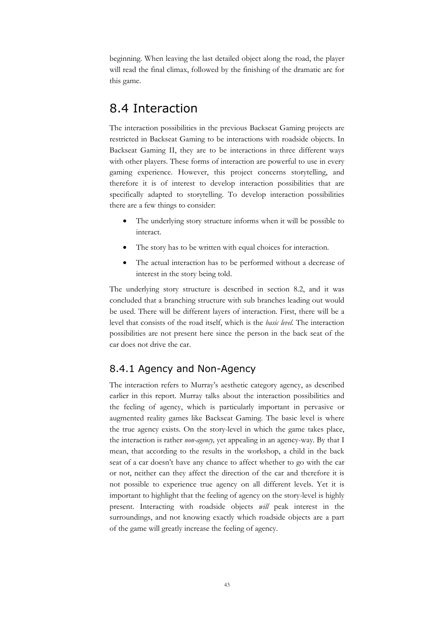beginning. When leaving the last detailed object along the road, the player will read the final climax, followed by the finishing of the dramatic arc for this game.

### 8.4 Interaction

The interaction possibilities in the previous Backseat Gaming projects are restricted in Backseat Gaming to be interactions with roadside objects. In Backseat Gaming II, they are to be interactions in three different ways with other players. These forms of interaction are powerful to use in every gaming experience. However, this project concerns storytelling, and therefore it is of interest to develop interaction possibilities that are specifically adapted to storytelling. To develop interaction possibilities there are a few things to consider:

- The underlying story structure informs when it will be possible to interact.
- The story has to be written with equal choices for interaction.
- The actual interaction has to be performed without a decrease of interest in the story being told.

The underlying story structure is described in section 8.2, and it was concluded that a branching structure with sub branches leading out would be used. There will be different layers of interaction. First, there will be a level that consists of the road itself, which is the *basic level*. The interaction possibilities are not present here since the person in the back seat of the car does not drive the car.

### 8.4.1 Agency and Non-Agency

The interaction refers to Murray's aesthetic category agency, as described earlier in this report. Murray talks about the interaction possibilities and the feeling of agency, which is particularly important in pervasive or augmented reality games like Backseat Gaming. The basic level is where the true agency exists. On the story-level in which the game takes place, the interaction is rather *non-agency,* yet appealing in an agency-way*.* By that I mean, that according to the results in the workshop, a child in the back seat of a car doesn't have any chance to affect whether to go with the car or not, neither can they affect the direction of the car and therefore it is not possible to experience true agency on all different levels. Yet it is important to highlight that the feeling of agency on the story-level is highly present. Interacting with roadside objects *will* peak interest in the surroundings, and not knowing exactly which roadside objects are a part of the game will greatly increase the feeling of agency.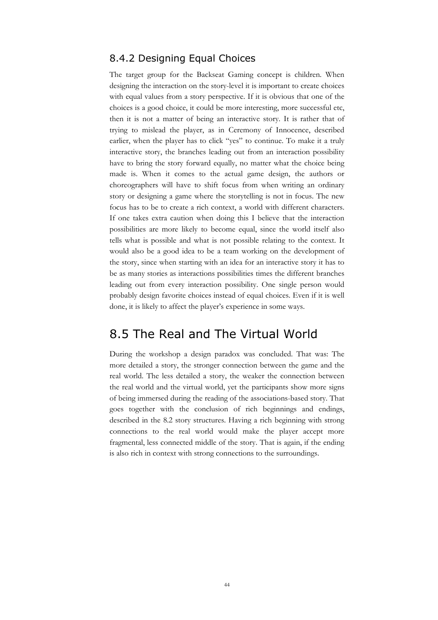### 8.4.2 Designing Equal Choices

The target group for the Backseat Gaming concept is children. When designing the interaction on the story-level it is important to create choices with equal values from a story perspective. If it is obvious that one of the choices is a good choice, it could be more interesting, more successful etc, then it is not a matter of being an interactive story. It is rather that of trying to mislead the player, as in Ceremony of Innocence, described earlier, when the player has to click "yes" to continue. To make it a truly interactive story, the branches leading out from an interaction possibility have to bring the story forward equally, no matter what the choice being made is. When it comes to the actual game design, the authors or choreographers will have to shift focus from when writing an ordinary story or designing a game where the storytelling is not in focus. The new focus has to be to create a rich context, a world with different characters. If one takes extra caution when doing this I believe that the interaction possibilities are more likely to become equal, since the world itself also tells what is possible and what is not possible relating to the context. It would also be a good idea to be a team working on the development of the story, since when starting with an idea for an interactive story it has to be as many stories as interactions possibilities times the different branches leading out from every interaction possibility. One single person would probably design favorite choices instead of equal choices. Even if it is well done, it is likely to affect the player's experience in some ways.

### 8.5 The Real and The Virtual World

During the workshop a design paradox was concluded. That was: The more detailed a story, the stronger connection between the game and the real world. The less detailed a story, the weaker the connection between the real world and the virtual world, yet the participants show more signs of being immersed during the reading of the associations-based story. That goes together with the conclusion of rich beginnings and endings, described in the 8.2 story structures. Having a rich beginning with strong connections to the real world would make the player accept more fragmental, less connected middle of the story. That is again, if the ending is also rich in context with strong connections to the surroundings.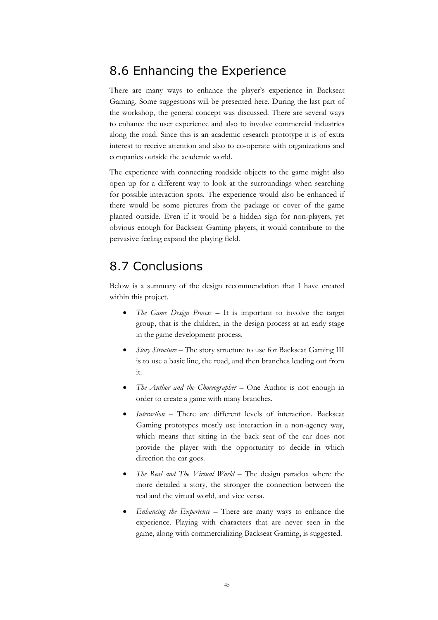### 8.6 Enhancing the Experience

There are many ways to enhance the player's experience in Backseat Gaming. Some suggestions will be presented here. During the last part of the workshop, the general concept was discussed. There are several ways to enhance the user experience and also to involve commercial industries along the road. Since this is an academic research prototype it is of extra interest to receive attention and also to co-operate with organizations and companies outside the academic world.

The experience with connecting roadside objects to the game might also open up for a different way to look at the surroundings when searching for possible interaction spots. The experience would also be enhanced if there would be some pictures from the package or cover of the game planted outside. Even if it would be a hidden sign for non-players, yet obvious enough for Backseat Gaming players, it would contribute to the pervasive feeling expand the playing field.

### 8.7 Conclusions

Below is a summary of the design recommendation that I have created within this project.

- *The Game Design Process* It is important to involve the target group, that is the children, in the design process at an early stage in the game development process.
- *Story Structure*  The story structure to use for Backseat Gaming III is to use a basic line, the road, and then branches leading out from it.
- *The Author and the Choreographer*  One Author is not enough in order to create a game with many branches.
- *Interaction* There are different levels of interaction. Backseat Gaming prototypes mostly use interaction in a non-agency way, which means that sitting in the back seat of the car does not provide the player with the opportunity to decide in which direction the car goes.
- *The Real and The Virtual World* The design paradox where the more detailed a story, the stronger the connection between the real and the virtual world, and vice versa.
- *Enhancing the Experience* There are many ways to enhance the experience. Playing with characters that are never seen in the game, along with commercializing Backseat Gaming, is suggested.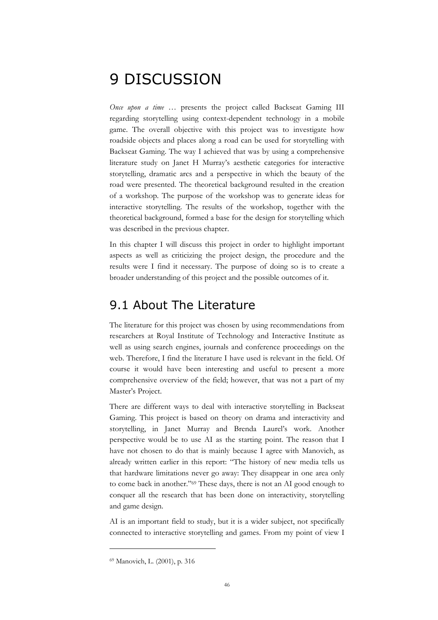# 9 DISCUSSION

*Once upon a time* … presents the project called Backseat Gaming III regarding storytelling using context-dependent technology in a mobile game. The overall objective with this project was to investigate how roadside objects and places along a road can be used for storytelling with Backseat Gaming. The way I achieved that was by using a comprehensive literature study on Janet H Murray's aesthetic categories for interactive storytelling, dramatic arcs and a perspective in which the beauty of the road were presented. The theoretical background resulted in the creation of a workshop. The purpose of the workshop was to generate ideas for interactive storytelling. The results of the workshop, together with the theoretical background, formed a base for the design for storytelling which was described in the previous chapter.

In this chapter I will discuss this project in order to highlight important aspects as well as criticizing the project design, the procedure and the results were I find it necessary. The purpose of doing so is to create a broader understanding of this project and the possible outcomes of it.

### 9.1 About The Literature

The literature for this project was chosen by using recommendations from researchers at Royal Institute of Technology and Interactive Institute as well as using search engines, journals and conference proceedings on the web. Therefore, I find the literature I have used is relevant in the field. Of course it would have been interesting and useful to present a more comprehensive overview of the field; however, that was not a part of my Master's Project.

There are different ways to deal with interactive storytelling in Backseat Gaming. This project is based on theory on drama and interactivity and storytelling, in Janet Murray and Brenda Laurel's work. Another perspective would be to use AI as the starting point. The reason that I have not chosen to do that is mainly because I agree with Manovich, as already written earlier in this report: "The history of new media tells us that hardware limitations never go away: They disappear in one area only to come back in another."69 These days, there is not an AI good enough to conquer all the research that has been done on interactivity, storytelling and game design.

AI is an important field to study, but it is a wider subject, not specifically connected to interactive storytelling and games. From my point of view I

<sup>69</sup> Manovich, L. (2001), p. 316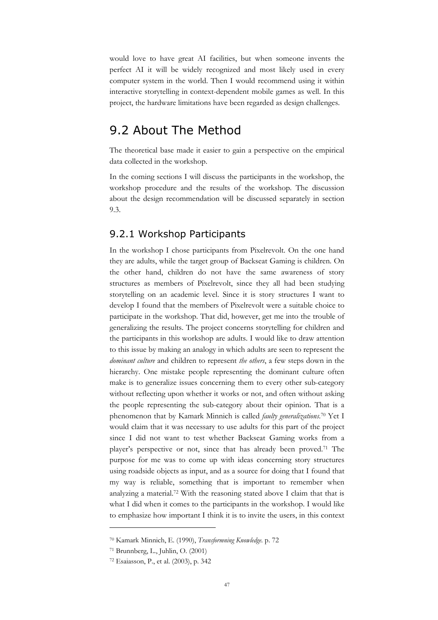would love to have great AI facilities, but when someone invents the perfect AI it will be widely recognized and most likely used in every computer system in the world. Then I would recommend using it within interactive storytelling in context-dependent mobile games as well. In this project, the hardware limitations have been regarded as design challenges.

### 9.2 About The Method

The theoretical base made it easier to gain a perspective on the empirical data collected in the workshop.

In the coming sections I will discuss the participants in the workshop, the workshop procedure and the results of the workshop. The discussion about the design recommendation will be discussed separately in section 9.3.

#### 9.2.1 Workshop Participants

In the workshop I chose participants from Pixelrevolt. On the one hand they are adults, while the target group of Backseat Gaming is children. On the other hand, children do not have the same awareness of story structures as members of Pixelrevolt, since they all had been studying storytelling on an academic level. Since it is story structures I want to develop I found that the members of Pixelrevolt were a suitable choice to participate in the workshop. That did, however, get me into the trouble of generalizing the results. The project concerns storytelling for children and the participants in this workshop are adults. I would like to draw attention to this issue by making an analogy in which adults are seen to represent the *dominant culture* and children to represent *the others*, a few steps down in the hierarchy. One mistake people representing the dominant culture often make is to generalize issues concerning them to every other sub-category without reflecting upon whether it works or not, and often without asking the people representing the sub-category about their opinion. That is a phenomenon that by Kamark Minnich is called *faulty generalizations*. 70 Yet I would claim that it was necessary to use adults for this part of the project since I did not want to test whether Backseat Gaming works from a player's perspective or not, since that has already been proved.71 The purpose for me was to come up with ideas concerning story structures using roadside objects as input, and as a source for doing that I found that my way is reliable, something that is important to remember when analyzing a material.72 With the reasoning stated above I claim that that is what I did when it comes to the participants in the workshop. I would like to emphasize how important I think it is to invite the users, in this context

<sup>70</sup> Kamark Minnich, E. (1990), *Transformning Knowledge.* p. 72

<sup>71</sup> Brunnberg, L., Juhlin, O. (2001)

<sup>72</sup> Esaiasson, P., et al. (2003), p. 342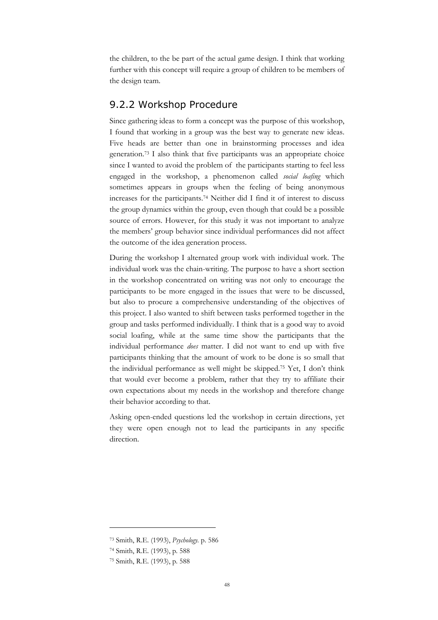the children, to the be part of the actual game design. I think that working further with this concept will require a group of children to be members of the design team.

#### 9.2.2 Workshop Procedure

Since gathering ideas to form a concept was the purpose of this workshop, I found that working in a group was the best way to generate new ideas. Five heads are better than one in brainstorming processes and idea generation.73 I also think that five participants was an appropriate choice since I wanted to avoid the problem of the participants starting to feel less engaged in the workshop, a phenomenon called *social loafing* which sometimes appears in groups when the feeling of being anonymous increases for the participants.74 Neither did I find it of interest to discuss the group dynamics within the group, even though that could be a possible source of errors. However, for this study it was not important to analyze the members' group behavior since individual performances did not affect the outcome of the idea generation process.

During the workshop I alternated group work with individual work. The individual work was the chain-writing. The purpose to have a short section in the workshop concentrated on writing was not only to encourage the participants to be more engaged in the issues that were to be discussed, but also to procure a comprehensive understanding of the objectives of this project. I also wanted to shift between tasks performed together in the group and tasks performed individually. I think that is a good way to avoid social loafing, while at the same time show the participants that the individual performance *does* matter. I did not want to end up with five participants thinking that the amount of work to be done is so small that the individual performance as well might be skipped.75 Yet, I don't think that would ever become a problem, rather that they try to affiliate their own expectations about my needs in the workshop and therefore change their behavior according to that.

Asking open-ended questions led the workshop in certain directions, yet they were open enough not to lead the participants in any specific direction.

<sup>73</sup> Smith, R.E. (1993), *Psychology.* p. 586

<sup>74</sup> Smith, R.E. (1993), p. 588

<sup>75</sup> Smith, R.E. (1993), p. 588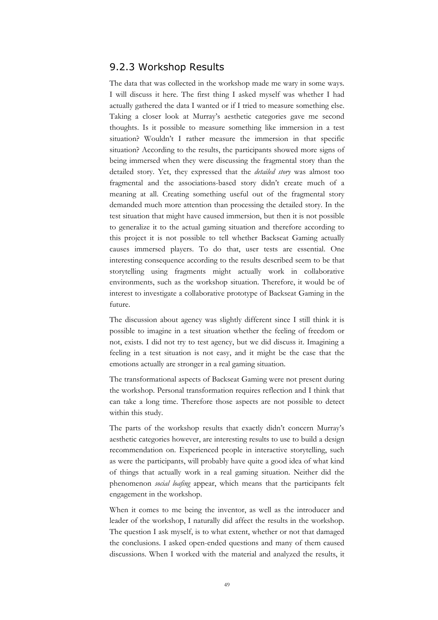#### 9.2.3 Workshop Results

The data that was collected in the workshop made me wary in some ways. I will discuss it here. The first thing I asked myself was whether I had actually gathered the data I wanted or if I tried to measure something else. Taking a closer look at Murray's aesthetic categories gave me second thoughts. Is it possible to measure something like immersion in a test situation? Wouldn't I rather measure the immersion in that specific situation? According to the results, the participants showed more signs of being immersed when they were discussing the fragmental story than the detailed story. Yet, they expressed that the *detailed story* was almost too fragmental and the associations-based story didn't create much of a meaning at all. Creating something useful out of the fragmental story demanded much more attention than processing the detailed story. In the test situation that might have caused immersion, but then it is not possible to generalize it to the actual gaming situation and therefore according to this project it is not possible to tell whether Backseat Gaming actually causes immersed players. To do that, user tests are essential. One interesting consequence according to the results described seem to be that storytelling using fragments might actually work in collaborative environments, such as the workshop situation. Therefore, it would be of interest to investigate a collaborative prototype of Backseat Gaming in the future.

The discussion about agency was slightly different since I still think it is possible to imagine in a test situation whether the feeling of freedom or not, exists. I did not try to test agency, but we did discuss it. Imagining a feeling in a test situation is not easy, and it might be the case that the emotions actually are stronger in a real gaming situation.

The transformational aspects of Backseat Gaming were not present during the workshop. Personal transformation requires reflection and I think that can take a long time. Therefore those aspects are not possible to detect within this study.

The parts of the workshop results that exactly didn't concern Murray's aesthetic categories however, are interesting results to use to build a design recommendation on. Experienced people in interactive storytelling, such as were the participants, will probably have quite a good idea of what kind of things that actually work in a real gaming situation. Neither did the phenomenon *social loafing* appear, which means that the participants felt engagement in the workshop.

When it comes to me being the inventor, as well as the introducer and leader of the workshop, I naturally did affect the results in the workshop. The question I ask myself, is to what extent, whether or not that damaged the conclusions. I asked open-ended questions and many of them caused discussions. When I worked with the material and analyzed the results, it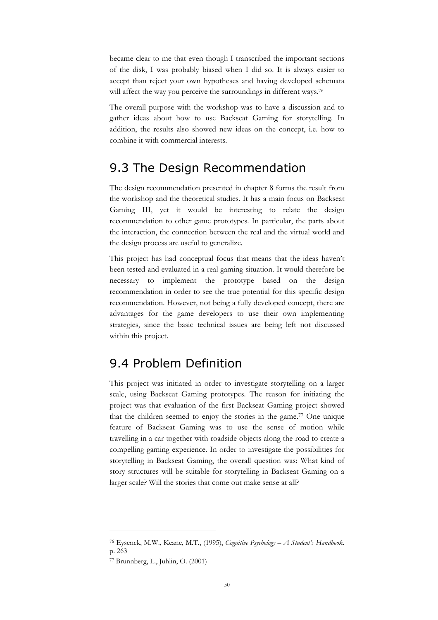became clear to me that even though I transcribed the important sections of the disk, I was probably biased when I did so. It is always easier to accept than reject your own hypotheses and having developed schemata will affect the way you perceive the surroundings in different ways.<sup>76</sup>

The overall purpose with the workshop was to have a discussion and to gather ideas about how to use Backseat Gaming for storytelling. In addition, the results also showed new ideas on the concept, i.e. how to combine it with commercial interests.

### 9.3 The Design Recommendation

The design recommendation presented in chapter 8 forms the result from the workshop and the theoretical studies. It has a main focus on Backseat Gaming III, yet it would be interesting to relate the design recommendation to other game prototypes. In particular, the parts about the interaction, the connection between the real and the virtual world and the design process are useful to generalize.

This project has had conceptual focus that means that the ideas haven't been tested and evaluated in a real gaming situation. It would therefore be necessary to implement the prototype based on the design recommendation in order to see the true potential for this specific design recommendation. However, not being a fully developed concept, there are advantages for the game developers to use their own implementing strategies, since the basic technical issues are being left not discussed within this project.

## 9.4 Problem Definition

This project was initiated in order to investigate storytelling on a larger scale, using Backseat Gaming prototypes. The reason for initiating the project was that evaluation of the first Backseat Gaming project showed that the children seemed to enjoy the stories in the game.<sup>77</sup> One unique feature of Backseat Gaming was to use the sense of motion while travelling in a car together with roadside objects along the road to create a compelling gaming experience. In order to investigate the possibilities for storytelling in Backseat Gaming, the overall question was: What kind of story structures will be suitable for storytelling in Backseat Gaming on a larger scale? Will the stories that come out make sense at all?

<sup>76</sup> Eysenck, M.W., Keane, M.T., (1995), *Cognitive Psychology – A Student's Handbook.* p. 263

<sup>77</sup> Brunnberg, L., Juhlin, O. (2001)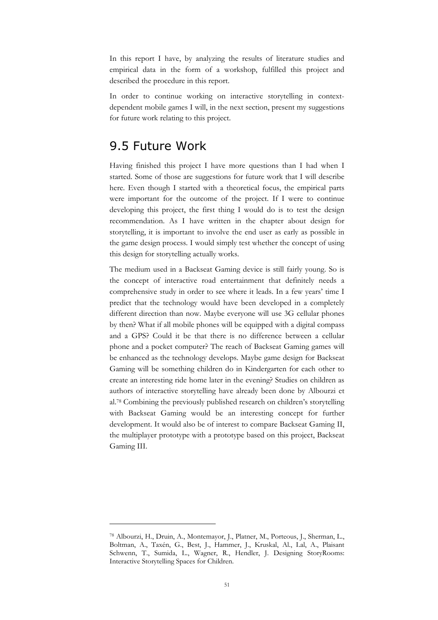In this report I have, by analyzing the results of literature studies and empirical data in the form of a workshop, fulfilled this project and described the procedure in this report.

In order to continue working on interactive storytelling in contextdependent mobile games I will, in the next section, present my suggestions for future work relating to this project.

### 9.5 Future Work

Having finished this project I have more questions than I had when I started. Some of those are suggestions for future work that I will describe here. Even though I started with a theoretical focus, the empirical parts were important for the outcome of the project. If I were to continue developing this project, the first thing I would do is to test the design recommendation. As I have written in the chapter about design for storytelling, it is important to involve the end user as early as possible in the game design process. I would simply test whether the concept of using this design for storytelling actually works.

The medium used in a Backseat Gaming device is still fairly young. So is the concept of interactive road entertainment that definitely needs a comprehensive study in order to see where it leads. In a few years' time I predict that the technology would have been developed in a completely different direction than now. Maybe everyone will use 3G cellular phones by then? What if all mobile phones will be equipped with a digital compass and a GPS? Could it be that there is no difference between a cellular phone and a pocket computer? The reach of Backseat Gaming games will be enhanced as the technology develops. Maybe game design for Backseat Gaming will be something children do in Kindergarten for each other to create an interesting ride home later in the evening? Studies on children as authors of interactive storytelling have already been done by Albourzi et al.78 Combining the previously published research on children's storytelling with Backseat Gaming would be an interesting concept for further development. It would also be of interest to compare Backseat Gaming II, the multiplayer prototype with a prototype based on this project, Backseat Gaming III.

<sup>78</sup> Albourzi, H., Druin, A., Montemayor, J., Platner, M., Porteous, J., Sherman, L., Boltman, A., Taxén, G., Best, J., Hammer, J., Kruskal, Al., Lal, A., Plaisant Schwenn, T., Sumida, L., Wagner, R., Hendler, J. Designing StoryRooms: Interactive Storytelling Spaces for Children.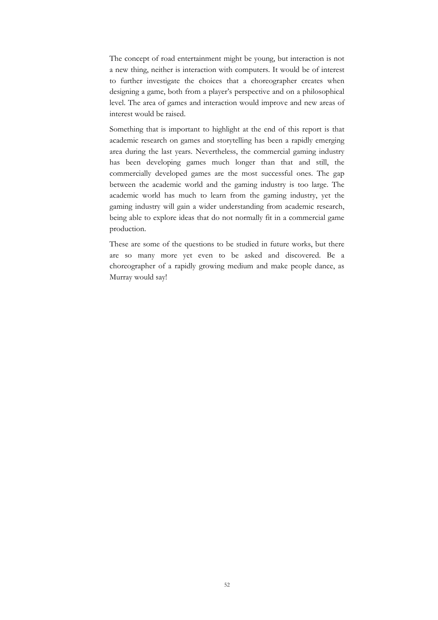The concept of road entertainment might be young, but interaction is not a new thing, neither is interaction with computers. It would be of interest to further investigate the choices that a choreographer creates when designing a game, both from a player's perspective and on a philosophical level. The area of games and interaction would improve and new areas of interest would be raised.

Something that is important to highlight at the end of this report is that academic research on games and storytelling has been a rapidly emerging area during the last years. Nevertheless, the commercial gaming industry has been developing games much longer than that and still, the commercially developed games are the most successful ones. The gap between the academic world and the gaming industry is too large. The academic world has much to learn from the gaming industry, yet the gaming industry will gain a wider understanding from academic research, being able to explore ideas that do not normally fit in a commercial game production.

These are some of the questions to be studied in future works, but there are so many more yet even to be asked and discovered. Be a choreographer of a rapidly growing medium and make people dance, as Murray would say!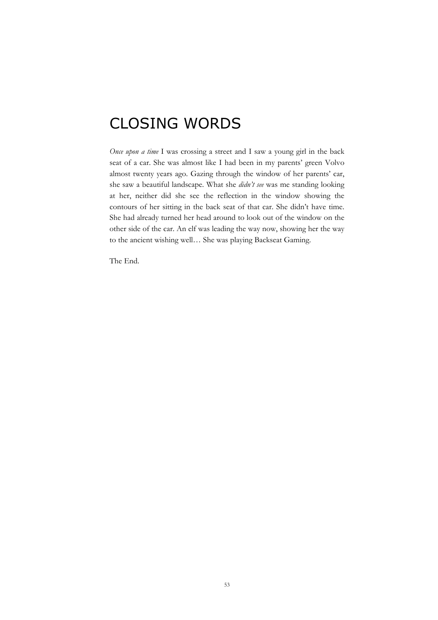# CLOSING WORDS

*Once upon a time* I was crossing a street and I saw a young girl in the back seat of a car. She was almost like I had been in my parents' green Volvo almost twenty years ago. Gazing through the window of her parents' car, she saw a beautiful landscape. What she *didn't see* was me standing looking at her, neither did she see the reflection in the window showing the contours of her sitting in the back seat of that car. She didn't have time. She had already turned her head around to look out of the window on the other side of the car. An elf was leading the way now, showing her the way to the ancient wishing well… She was playing Backseat Gaming.

The End.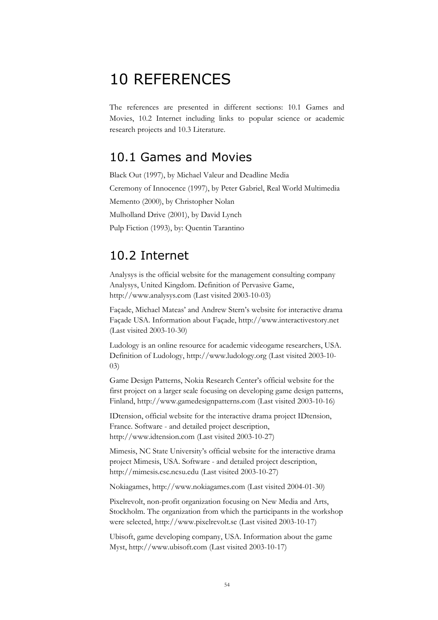# 10 REFERENCES

The references are presented in different sections: 10.1 Games and Movies, 10.2 Internet including links to popular science or academic research projects and 10.3 Literature.

### 10.1 Games and Movies

Black Out (1997), by Michael Valeur and Deadline Media Ceremony of Innocence (1997), by Peter Gabriel, Real World Multimedia Memento (2000), by Christopher Nolan Mulholland Drive (2001), by David Lynch Pulp Fiction (1993), by: Quentin Tarantino

## 10.2 Internet

Analysys is the official website for the management consulting company Analysys, United Kingdom. Definition of Pervasive Game, http://www.analysys.com (Last visited 2003-10-03)

Façade, Michael Mateas' and Andrew Stern's website for interactive drama Façade USA. Information about Façade, http://www.interactivestory.net (Last visited 2003-10-30)

Ludology is an online resource for academic videogame researchers, USA. Definition of Ludology, http://www.ludology.org (Last visited 2003-10- 03)

Game Design Patterns, Nokia Research Center's official website for the first project on a larger scale focusing on developing game design patterns, Finland, http://www.gamedesignpatterns.com (Last visited 2003-10-16)

IDtension, official website for the interactive drama project IDtension, France. Software - and detailed project description, http://www.idtension.com (Last visited 2003-10-27)

Mimesis, NC State University's official website for the interactive drama project Mimesis, USA. Software - and detailed project description, http://mimesis.csc.ncsu.edu (Last visited 2003-10-27)

Nokiagames, http://www.nokiagames.com (Last visited 2004-01-30)

Pixelrevolt, non-profit organization focusing on New Media and Arts, Stockholm. The organization from which the participants in the workshop were selected, http://www.pixelrevolt.se (Last visited 2003-10-17)

Ubisoft, game developing company, USA. Information about the game Myst, http://www.ubisoft.com (Last visited 2003-10-17)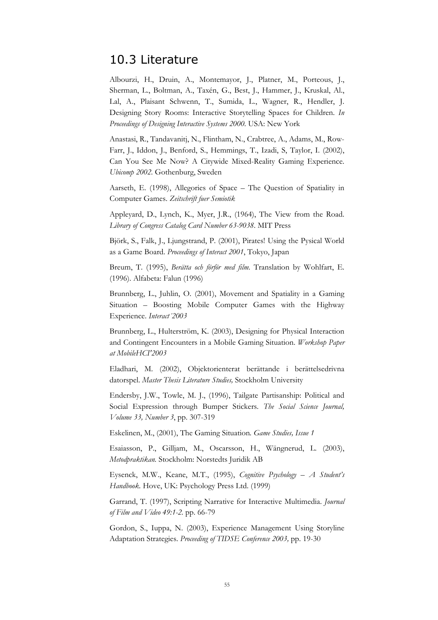### 10.3 Literature

Albourzi, H., Druin, A., Montemayor, J., Platner, M., Porteous, J., Sherman, L., Boltman, A., Taxén, G., Best, J., Hammer, J., Kruskal, Al., Lal, A., Plaisant Schwenn, T., Sumida, L., Wagner, R., Hendler, J. Designing Story Rooms: Interactive Storytelling Spaces for Children. *In Proceedings of Designing Interactive Systems 2000.* USA: New York

Anastasi, R., Tandavanitj, N., Flintham, N., Crabtree, A., Adams, M., Row-Farr, J., Iddon, J., Benford, S., Hemmings, T., Izadi, S, Taylor, I. (2002), Can You See Me Now? A Citywide Mixed-Reality Gaming Experience. *Ubicomp 2002.* Gothenburg, Sweden

Aarseth, E. (1998), Allegories of Space – The Question of Spatiality in Computer Games. *Zeitschrift fuer Semiotik*

Appleyard, D., Lynch, K., Myer, J.R., (1964), The View from the Road. *Library of Congress Catalog Card Number 63-9038*. MIT Press

Björk, S., Falk, J., Ljungstrand, P. (2001), Pirates! Using the Pysical World as a Game Board. *Proceedings of Interact 2001*, Tokyo, Japan

Breum, T. (1995), *Berätta och förför med film.* Translation by Wohlfart, E. (1996). Alfabeta: Falun (1996)

Brunnberg, L., Juhlin, O. (2001), Movement and Spatiality in a Gaming Situation – Boosting Mobile Computer Games with the Highway Experience. *Interact´2003*

Brunnberg, L., Hulterström, K. (2003), Designing for Physical Interaction and Contingent Encounters in a Mobile Gaming Situation. *Workshop Paper at MobileHCI'2003*

Eladhari, M. (2002), Objektorienterat berättande i berättelsedrivna datorspel. *Master Thesis Literature Studies,* Stockholm University

Endersby, J.W., Towle, M. J., (1996), Tailgate Partisanship: Political and Social Expression through Bumper Stickers. *The Social Science Journal, Volume 33, Number 3*, pp. 307-319

Eskelinen, M., (2001), The Gaming Situation*. Game Studies, Issue 1*

Esaiasson, P., Gilljam, M., Oscarsson, H., Wängnerud, L. (2003), *Metodpraktikan.* Stockholm: Norstedts Juridik AB

Eysenck, M.W., Keane, M.T., (1995), *Cognitive Psychology – A Student's Handbook.* Hove, UK: Psychology Press Ltd. (1999)

Garrand, T. (1997), Scripting Narrative for Interactive Multimedia. *Journal of Film and Video 49:1-2.* pp. 66-79

Gordon, S., Iuppa, N. (2003), Experience Management Using Storyline Adaptation Strategies. *Proceeding of TIDSE Conference 2003,* pp. 19-30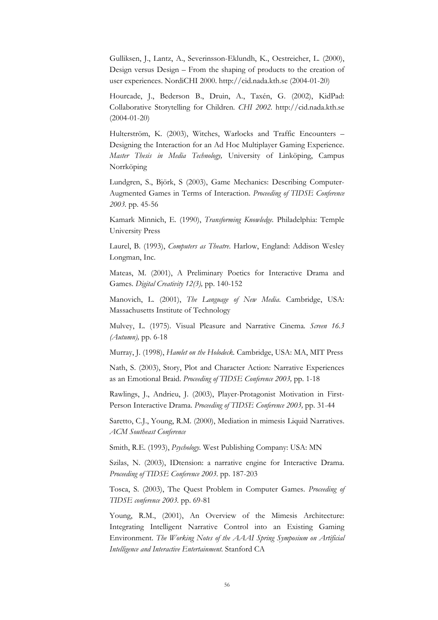Gulliksen, J., Lantz, A., Severinsson-Eklundh, K., Oestreicher, L. (2000), Design versus Design – From the shaping of products to the creation of user experiences. NordiCHI 2000. http://cid.nada.kth.se (2004-01-20)

Hourcade, J., Bederson B., Druin, A., Taxén, G. (2002), KidPad: Collaborative Storytelling for Children. *CHI 2002.* http://cid.nada.kth.se (2004-01-20)

Hulterström, K. (2003), Witches, Warlocks and Traffic Encounters – Designing the Interaction for an Ad Hoc Multiplayer Gaming Experience. *Master Thesis in Media Technology,* University of Linköping, Campus Norrköping

Lundgren, S., Björk, S (2003), Game Mechanics: Describing Computer-Augmented Games in Terms of Interaction. *Proceeding of TIDSE Conference 2003.* pp. 45-56

Kamark Minnich, E. (1990), *Transforming Knowledge.* Philadelphia: Temple University Press

Laurel, B. (1993), *Computers as Theatre*. Harlow, England: Addison Wesley Longman, Inc.

Mateas, M. (2001), A Preliminary Poetics for Interactive Drama and Games. *Digital Creativity 12(3),* pp. 140-152

Manovich, L. (2001), *The Language of New Media*. Cambridge, USA: Massachusetts Institute of Technology

Mulvey, L. (1975). Visual Pleasure and Narrative Cinema*. Screen 16.3 (Autumn),* pp. 6-18

Murray, J. (1998), *Hamlet on the Holodeck.* Cambridge, USA: MA, MIT Press

Nath, S. (2003), Story, Plot and Character Action: Narrative Experiences as an Emotional Braid. *Proceeding of TIDSE Conference 2003,* pp. 1-18

Rawlings, J., Andrieu, J. (2003), Player-Protagonist Motivation in First-Person Interactive Drama. *Proceeding of TIDSE Conference 2003,* pp. 31-44

Saretto, C.J., Young, R.M. (2000), Mediation in mimesis Liquid Narratives. *ACM Southeast Conference*

Smith, R.E. (1993), *Psychology.* West Publishing Company: USA: MN

Szilas, N. (2003), IDtension: a narrative engine for Interactive Drama. *Proceeding of TIDSE Conference 2003.* pp. 187-203

Tosca, S. (2003), The Quest Problem in Computer Games. *Proceeding of TIDSE conference 2003.* pp. 69-81

Young, R.M., (2001), An Overview of the Mimesis Architecture: Integrating Intelligent Narrative Control into an Existing Gaming Environment. *The Working Notes of the AAAI Spring Symposium on Artificial Intelligence and Interactive Entertainment.* Stanford CA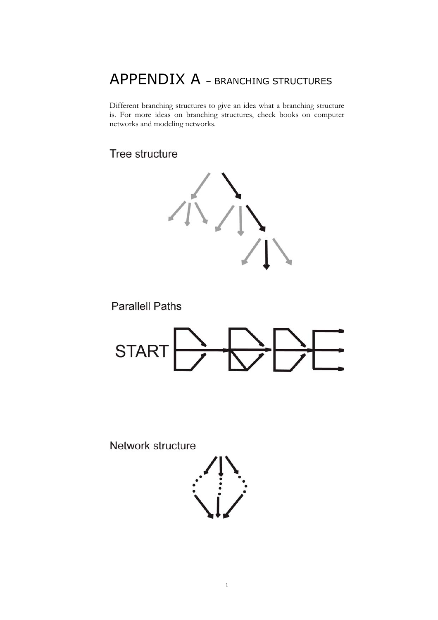# APPENDIX A – BRANCHING STRUCTURES

Different branching structures to give an idea what a branching structure is. For more ideas on branching structures, check books on computer networks and modeling networks.

Tree structure



**Parallell Paths** 



Network structure



1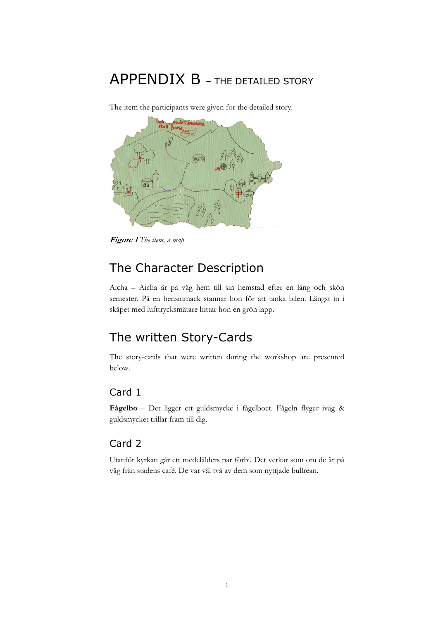# APPENDIX B – THE DETAILED STORY



The item the participants were given for the detailed story.

**Figure 1** *The item, a map*

## The Character Description

Aicha – Aicha är på väg hem till sin hemstad efter en lång och skön semester. På en bensinmack stannar hon för att tanka bilen. Längst in i skåpet med lufttrycksmätare hittar hon en grön lapp.

## The written Story-Cards

The story-cards that were written during the workshop are presented below.

### Card 1

**Fågelbo** – Det ligger ett guldsmycke i fågelboet. Fågeln flyger iväg & guldsmycket trillar fram till dig.

### Card 2

Utanför kyrkan går ett medelålders par förbi. Det verkar som om de är på väg från stadens café. De var väl två av dem som nyttjade bullrean.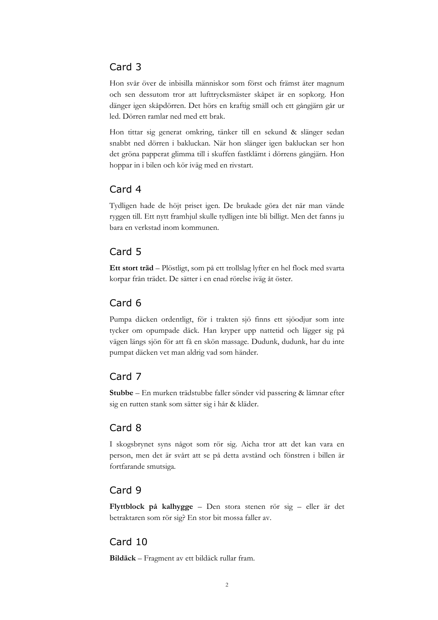### Card 3

Hon svår över de inbisilla människor som först och främst äter magnum och sen dessutom tror att lufttrycksmäster skåpet är en sopkorg. Hon dänger igen skåpdörren. Det hörs en kraftig smäll och ett gångjärn går ur led. Dörren ramlar ned med ett brak.

Hon tittar sig generat omkring, tänker till en sekund & slänger sedan snabbt ned dörren i bakluckan. När hon slänger igen bakluckan ser hon det gröna papperat glimma till i skuffen fastklämt i dörrens gångjärn. Hon hoppar in i bilen och kör iväg med en rivstart.

### Card 4

Tydligen hade de höjt priset igen. De brukade göra det när man vände ryggen till. Ett nytt framhjul skulle tydligen inte bli billigt. Men det fanns ju bara en verkstad inom kommunen.

### Card 5

**Ett stort träd** – Plöstligt, som på ett trollslag lyfter en hel flock med svarta korpar från trädet. De sätter i en enad rörelse iväg åt öster.

### Card 6

Pumpa däcken ordentligt, för i trakten sjö finns ett sjöodjur som inte tycker om opumpade däck. Han kryper upp nattetid och lägger sig på vägen längs sjön för att få en skön massage. Dudunk, dudunk, har du inte pumpat däcken vet man aldrig vad som händer.

### Card 7

**Stubbe** – En murken trädstubbe faller sönder vid passering & lämnar efter sig en rutten stank som sätter sig i hår & kläder.

### Card 8

I skogsbrynet syns något som rör sig. Aicha tror att det kan vara en person, men det är svårt att se på detta avstånd och fönstren i billen är fortfarande smutsiga.

### Card 9

**Flyttblock på kalhygge** – Den stora stenen rör sig – eller är det betraktaren som rör sig? En stor bit mossa faller av.

### Card 10

**Bildäck** – Fragment av ett bildäck rullar fram.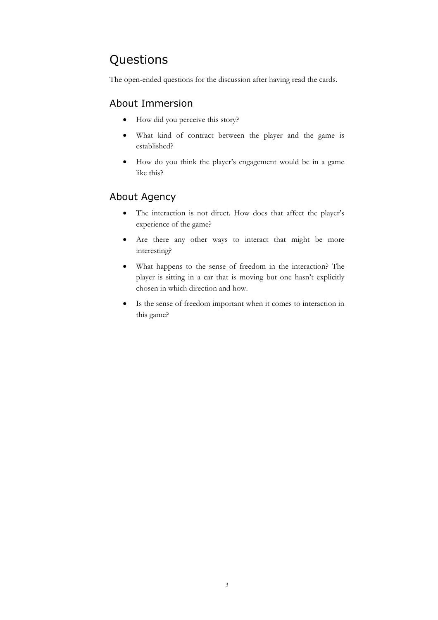## Questions

The open-ended questions for the discussion after having read the cards.

### About Immersion

- How did you perceive this story?
- What kind of contract between the player and the game is established?
- How do you think the player's engagement would be in a game like this?

### About Agency

- The interaction is not direct. How does that affect the player's experience of the game?
- Are there any other ways to interact that might be more interesting?
- What happens to the sense of freedom in the interaction? The player is sitting in a car that is moving but one hasn't explicitly chosen in which direction and how.
- Is the sense of freedom important when it comes to interaction in this game?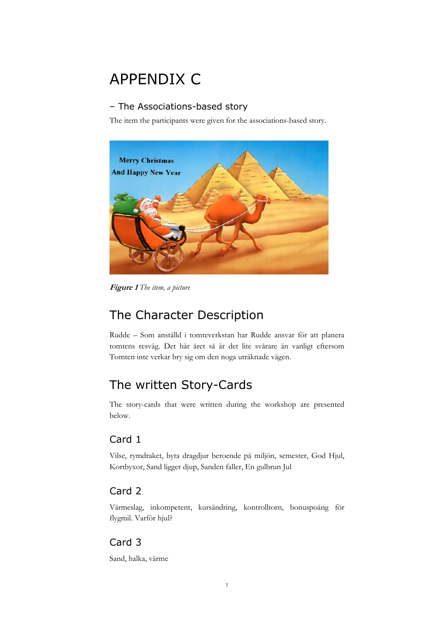# APPENDIX C

#### – The Associations-based story

The item the participants were given for the associations-based story.



**Figure 1** *The item, a picture*

## The Character Description

Rudde – Som anställd i tomteverkstan har Rudde ansvar för att planera tomtens resväg. Det här året så är det lite svårare än vanligt eftersom Tomten inte verkar bry sig om den noga uträknade vägen.

## The written Story-Cards

The story-cards that were written during the workshop are presented below.

### Card 1

Vilse, rymdraket, byta dragdjur beroende på miljön, semester, God Hjul, Kortbyxor, Sand ligger djup, Sanden faller, En gulbrun Jul

### Card 2

Värmeslag, inkompetent, kursändring, kontrolltorn, bonuspoäng för flygmil. Varför hjul?

### Card 3

Sand, halka, värme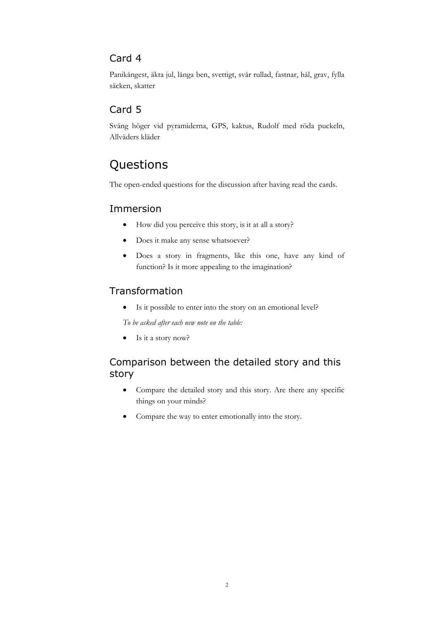### Card 4

Panikångest, äkta jul, långa ben, svettigt, svår rullad, fastnar, hål, grav, fylla säcken, skatter

### Card 5

Sväng höger vid pyramiderna, GPS, kaktus, Rudolf med röda puckeln, Allväders kläder

## Questions

The open-ended questions for the discussion after having read the cards.

### Immersion

- How did you perceive this story, is it at all a story?
- Does it make any sense whatsoever?
- Does a story in fragments, like this one, have any kind of function? Is it more appealing to the imagination?

### Transformation

• Is it possible to enter into the story on an emotional level?

*To be asked after each new note on the table:*

• Is it a story now?

### Comparison between the detailed story and this story

- Compare the detailed story and this story. Are there any specific things on your minds?
- Compare the way to enter emotionally into the story.